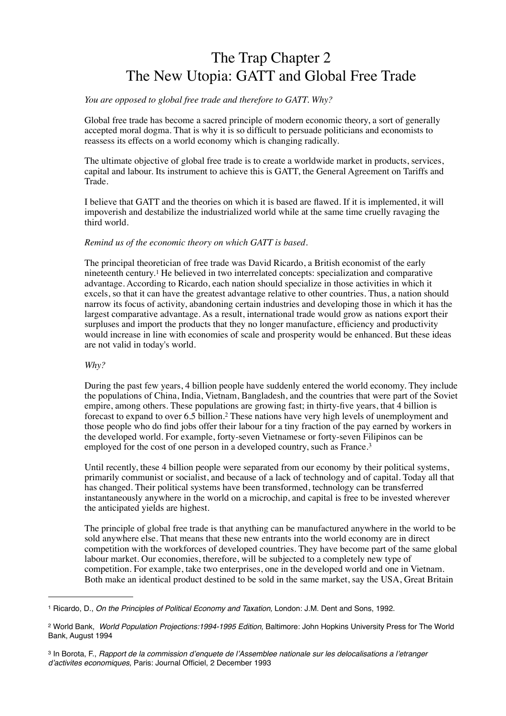# The Trap Chapter 2 The New Utopia: GATT and Global Free Trade

### *You are opposed to global free trade and therefore to GATT. Why?*

Global free trade has become a sacred principle of modern economic theory, a sort of generally accepted moral dogma. That is why it is so difficult to persuade politicians and economists to reassess its effects on a world economy which is changing radically.

The ultimate objective of global free trade is to create a worldwide market in products, services, capital and labour. Its instrument to achieve this is GATT, the General Agreement on Tariffs and Trade.

I believe that GATT and the theories on which it is based are flawed. If it is implemented, it will impoverish and destabilize the industrialized world while at the same time cruelly ravaging the third world.

### *Remind us of the economic theory on which GATT is based.*

The principal theoretician of free trade was David Ricardo, a British economist of the early nineteenth century[.1](#page-0-0) He believed in two interrelated concepts: specialization and comparative advantage. According to Ricardo, each nation should specialize in those activities in which it excels, so that it can have the greatest advantage relative to other countries. Thus, a nation should narrow its focus of activity, abandoning certain industries and developing those in which it has the largest comparative advantage. As a result, international trade would grow as nations export their surpluses and import the products that they no longer manufacture, efficiency and productivity would increase in line with economies of scale and prosperity would be enhanced. But these ideas are not valid in today's world.

*Why?* 

During the past few years, 4 billion people have suddenly entered the world economy. They include the populations of China, India, Vietnam, Bangladesh, and the countries that were part of the Soviet empire, among others. These populations are growing fast; in thirty-five years, that 4 billion is forecast to expand to over 6.5 billion[.2](#page-0-1) These nations have very high levels of unemployment and those people who do find jobs offer their labour for a tiny fraction of the pay earned by workers in the developed world. For example, forty-seven Vietnamese or forty-seven Filipinos can be employed for the cost of one person in a developed country, such as France.<sup>3</sup>

Until recently, these 4 billion people were separated from our economy by their political systems, primarily communist or socialist, and because of a lack of technology and of capital. Today all that has changed. Their political systems have been transformed, technology can be transferred instantaneously anywhere in the world on a microchip, and capital is free to be invested wherever the anticipated yields are highest.

The principle of global free trade is that anything can be manufactured anywhere in the world to be sold anywhere else. That means that these new entrants into the world economy are in direct competition with the workforces of developed countries. They have become part of the same global labour market. Our economies, therefore, will be subjected to a completely new type of competition. For example, take two enterprises, one in the developed world and one in Vietnam. Both make an identical product destined to be sold in the same market, say the USA, Great Britain

<span id="page-0-0"></span><sup>1</sup> Ricardo, D., *On the Principles of Political Economy and Taxation,* London: J.M. Dent and Sons, 1992.

<span id="page-0-1"></span><sup>2</sup> World Bank, *World Population Projections:1994-1995 Edition,* Baltimore: John Hopkins University Press for The World Bank, August 1994

<span id="page-0-2"></span><sup>3</sup> In Borota, F., *Rapport de la commission d*'*enquete de l*'*Assemblee nationale sur les delocalisations a l*'*etranger d*'*activites economiques,* Paris: Journal Officiel, 2 December 1993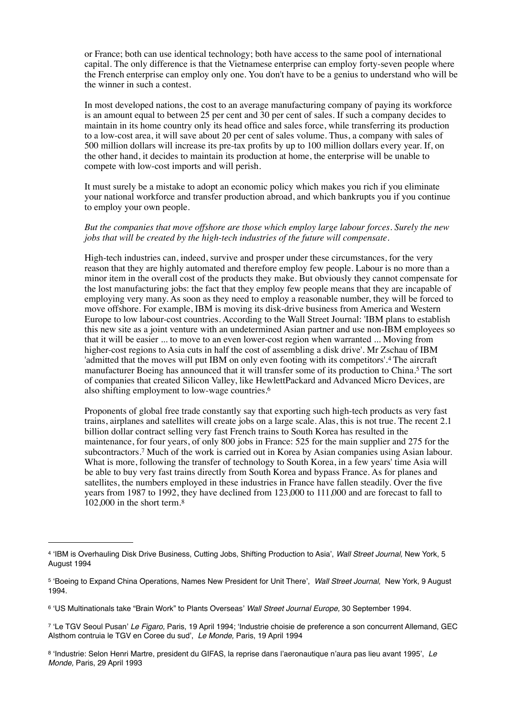or France; both can use identical technology; both have access to the same pool of international capital. The only difference is that the Vietnamese enterprise can employ forty-seven people where the French enterprise can employ only one. You don't have to be a genius to understand who will be the winner in such a contest.

In most developed nations, the cost to an average manufacturing company of paying its workforce is an amount equal to between 25 per cent and 30 per cent of sales. If such a company decides to maintain in its home country only its head office and sales force, while transferring its production to a low-cost area, it will save about 20 per cent of sales volume. Thus, a company with sales of 500 million dollars will increase its pre-tax profits by up to 100 million dollars every year. If, on the other hand, it decides to maintain its production at home, the enterprise will be unable to compete with low-cost imports and will perish.

It must surely be a mistake to adopt an economic policy which makes you rich if you eliminate your national workforce and transfer production abroad, and which bankrupts you if you continue to employ your own people.

### *But the companies that move offshore are those which employ large labour forces. Surely the new jobs that will be created by the high-tech industries of the future will compensate.*

High-tech industries can, indeed, survive and prosper under these circumstances, for the very reason that they are highly automated and therefore employ few people. Labour is no more than a minor item in the overall cost of the products they make. But obviously they cannot compensate for the lost manufacturing jobs: the fact that they employ few people means that they are incapable of employing very many. As soon as they need to employ a reasonable number, they will be forced to move offshore. For example, IBM is moving its disk-drive business from America and Western Europe to low labour-cost countries. According to the Wall Street Journal: 'IBM plans to establish this new site as a joint venture with an undetermined Asian partner and use non-IBM employees so that it will be easier ... to move to an even lower-cost region when warranted ... Moving from higher-cost regions to Asia cuts in half the cost of assembling a disk drive'. Mr Zschau of IBM 'admitted that the moves will put IBM on only even footing with its competitors'.[4](#page-1-0) The aircraft manufacturer Boeing has announced that it will transfer some of its production to China[.5](#page-1-1) The sort of companies that created Silicon Valley, like HewlettPackard and Advanced Micro Devices, are also shifting employment to low-wage countries[.6](#page-1-2)

Proponents of global free trade constantly say that exporting such high-tech products as very fast trains, airplanes and satellites will create jobs on a large scale. Alas, this is not true. The recent 2.1 billion dollar contract selling very fast French trains to South Korea has resulted in the maintenance, for four years, of only 800 jobs in France: 525 for the main supplier and 275 for the subcontractors[.7](#page-1-3) Much of the work is carried out in Korea by Asian companies using Asian labour. What is more, following the transfer of technology to South Korea, in a few years' time Asia will be able to buy very fast trains directly from South Korea and bypass France. As for planes and satellites, the numbers employed in these industries in France have fallen steadily. Over the five years from 1987 to 1992, they have declined from 123,000 to 111,000 and are forecast to fall to 102,000 in the short term[.8](#page-1-4)

<span id="page-1-0"></span><sup>4</sup> ʻIBM is Overhauling Disk Drive Business, Cutting Jobs, Shifting Production to Asia', *Wall Street Journal,* New York, 5 August 1994

<span id="page-1-1"></span><sup>5</sup> ʻBoeing to Expand China Operations, Names New President for Unit There', *Wall Street Journal,* New York, 9 August 1994.

<span id="page-1-2"></span><sup>6</sup> ʻUS Multinationals take "Brain Work" to Plants Overseas' *Wall Street Journal Europe,* 30 September 1994.

<span id="page-1-3"></span><sup>7</sup> ʻLe TGV Seoul Pusan' *Le Figaro,* Paris, 19 April 1994; ʻIndustrie choisie de preference a son concurrent Allemand, GEC Alsthom contruia le TGV en Coree du sud', *Le Monde,* Paris, 19 April 1994

<span id="page-1-4"></span><sup>8</sup> ʻIndustrie: Selon Henri Martre, president du GIFAS, la reprise dans l'aeronautique n'aura pas lieu avant 1995', *Le Monde,* Paris, 29 April 1993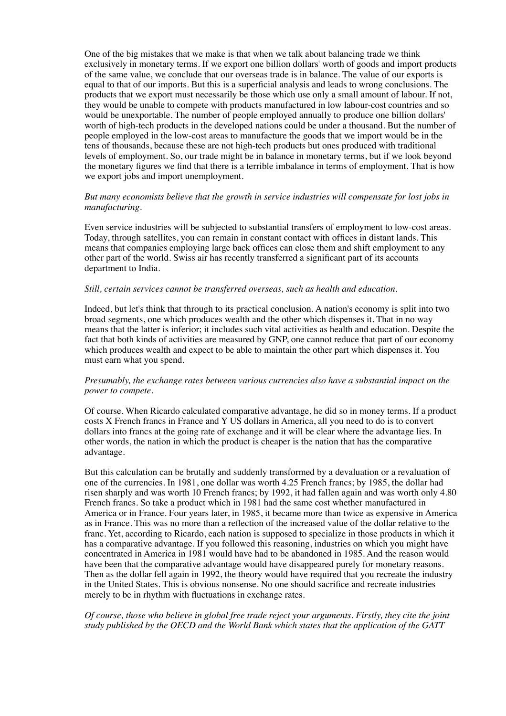One of the big mistakes that we make is that when we talk about balancing trade we think exclusively in monetary terms. If we export one billion dollars' worth of goods and import products of the same value, we conclude that our overseas trade is in balance. The value of our exports is equal to that of our imports. But this is a superficial analysis and leads to wrong conclusions. The products that we export must necessarily be those which use only a small amount of labour. If not, they would be unable to compete with products manufactured in low labour-cost countries and so would be unexportable. The number of people employed annually to produce one billion dollars' worth of high-tech products in the developed nations could be under a thousand. But the number of people employed in the low-cost areas to manufacture the goods that we import would be in the tens of thousands, because these are not high-tech products but ones produced with traditional levels of employment. So, our trade might be in balance in monetary terms, but if we look beyond the monetary figures we find that there is a terrible imbalance in terms of employment. That is how we export jobs and import unemployment.

### *But many economists believe that the growth in service industries will compensate for lost jobs in manufacturing.*

Even service industries will be subjected to substantial transfers of employment to low-cost areas. Today, through satellites, you can remain in constant contact with offices in distant lands. This means that companies employing large back offices can close them and shift employment to any other part of the world. Swiss air has recently transferred a significant part of its accounts department to India.

### *Still, certain services cannot be transferred overseas, such as health and education.*

Indeed, but let's think that through to its practical conclusion. A nation's economy is split into two broad segments, one which produces wealth and the other which dispenses it. That in no way means that the latter is inferior; it includes such vital activities as health and education. Despite the fact that both kinds of activities are measured by GNP, one cannot reduce that part of our economy which produces wealth and expect to be able to maintain the other part which dispenses it. You must earn what you spend.

### *Presumably, the exchange rates between various currencies also have a substantial impact on the power to compete.*

Of course. When Ricardo calculated comparative advantage, he did so in money terms. If a product costs X French francs in France and Y US dollars in America, all you need to do is to convert dollars into francs at the going rate of exchange and it will be clear where the advantage lies. In other words, the nation in which the product is cheaper is the nation that has the comparative advantage.

But this calculation can be brutally and suddenly transformed by a devaluation or a revaluation of one of the currencies. In 1981, one dollar was worth 4.25 French francs; by 1985, the dollar had risen sharply and was worth 10 French francs; by 1992, it had fallen again and was worth only 4.80 French francs. So take a product which in 1981 had the same cost whether manufactured in America or in France. Four years later, in 1985, it became more than twice as expensive in America as in France. This was no more than a reflection of the increased value of the dollar relative to the franc. Yet, according to Ricardo, each nation is supposed to specialize in those products in which it has a comparative advantage. If you followed this reasoning, industries on which you might have concentrated in America in 1981 would have had to be abandoned in 1985. And the reason would have been that the comparative advantage would have disappeared purely for monetary reasons. Then as the dollar fell again in 1992, the theory would have required that you recreate the industry in the United States. This is obvious nonsense. No one should sacrifice and recreate industries merely to be in rhythm with fluctuations in exchange rates.

### *Of course, those who believe in global free trade reject your arguments. Firstly, they cite the joint study published by the OECD and the World Bank which states that the application of the GATT*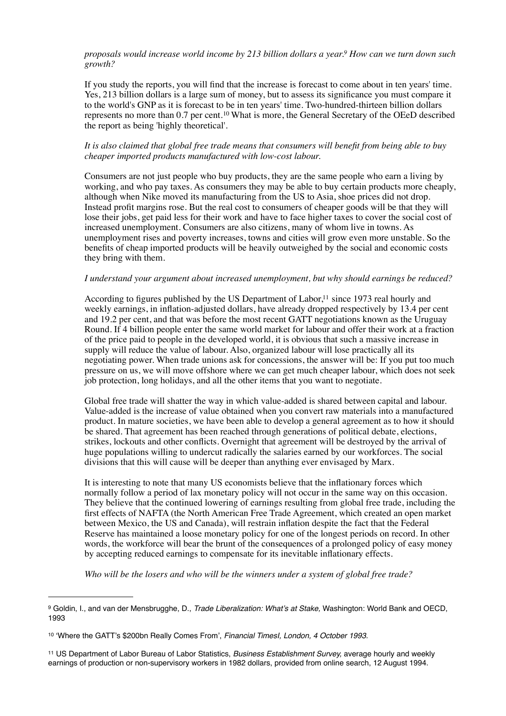*proposals would increase world income by 213 billion dollars a year[.9](#page-3-0) How can we turn down such growth?*

If you study the reports, you will find that the increase is forecast to come about in ten years' time. Yes, 213 billion dollars is a large sum of money, but to assess its significance you must compare it to the world's GNP as it is forecast to be in ten years' time. Two-hundred-thirteen billion dollars represents no more than 0.7 per cent.<sup>[10](#page-3-1)</sup> What is more, the General Secretary of the OEeD described the report as being 'highly theoretical'.

### *It is also claimed that global free trade means that consumers will benefit from being able to buy cheaper imported products manufactured with low-cost labour.*

Consumers are not just people who buy products, they are the same people who earn a living by working, and who pay taxes. As consumers they may be able to buy certain products more cheaply, although when Nike moved its manufacturing from the US to Asia, shoe prices did not drop. Instead profit margins rose. But the real cost to consumers of cheaper goods will be that they will lose their jobs, get paid less for their work and have to face higher taxes to cover the social cost of increased unemployment. Consumers are also citizens, many of whom live in towns. As unemployment rises and poverty increases, towns and cities will grow even more unstable. So the benefits of cheap imported products will be heavily outweighed by the social and economic costs they bring with them.

### *I understand your argument about increased unemployment, but why should earnings be reduced?*

According to figures published by the US Department of Labor,<sup>11</sup> since 1973 real hourly and weekly earnings, in inflation-adjusted dollars, have already dropped respectively by 13.4 per cent and 19.2 per cent, and that was before the most recent GATT negotiations known as the Uruguay Round. If 4 billion people enter the same world market for labour and offer their work at a fraction of the price paid to people in the developed world, it is obvious that such a massive increase in supply will reduce the value of labour. Also, organized labour will lose practically all its negotiating power. When trade unions ask for concessions, the answer will be: If you put too much pressure on us, we will move offshore where we can get much cheaper labour, which does not seek job protection, long holidays, and all the other items that you want to negotiate.

Global free trade will shatter the way in which value-added is shared between capital and labour. Value-added is the increase of value obtained when you convert raw materials into a manufactured product. In mature societies, we have been able to develop a general agreement as to how it should be shared. That agreement has been reached through generations of political debate, elections, strikes, lockouts and other conflicts. Overnight that agreement will be destroyed by the arrival of huge populations willing to undercut radically the salaries earned by our workforces. The social divisions that this will cause will be deeper than anything ever envisaged by Marx.

It is interesting to note that many US economists believe that the inflationary forces which normally follow a period of lax monetary policy will not occur in the same way on this occasion. They believe that the continued lowering of earnings resulting from global free trade, including the first effects of NAFTA (the North American Free Trade Agreement, which created an open market between Mexico, the US and Canada), will restrain inflation despite the fact that the Federal Reserve has maintained a loose monetary policy for one of the longest periods on record. In other words, the workforce will bear the brunt of the consequences of a prolonged policy of easy money by accepting reduced earnings to compensate for its inevitable inflationary effects.

*Who will be the losers and who will be the winners under a system of global free trade?* 

<span id="page-3-0"></span><sup>9</sup> Goldin, I., and van der Mensbrugghe, D., *Trade Liberalization: What*'*s at Stake,* Washington: World Bank and OECD, 1993

<span id="page-3-1"></span><sup>10</sup> ʻWhere the GATT's \$200bn Really Comes From', *Financial TimesI, London, 4 October 1993.*

<span id="page-3-2"></span><sup>11</sup> US Department of Labor Bureau of Labor Statistics, *Business Establishment Survey,* average hourly and weekly earnings of production or non-supervisory workers in 1982 dollars, provided from online search, 12 August 1994.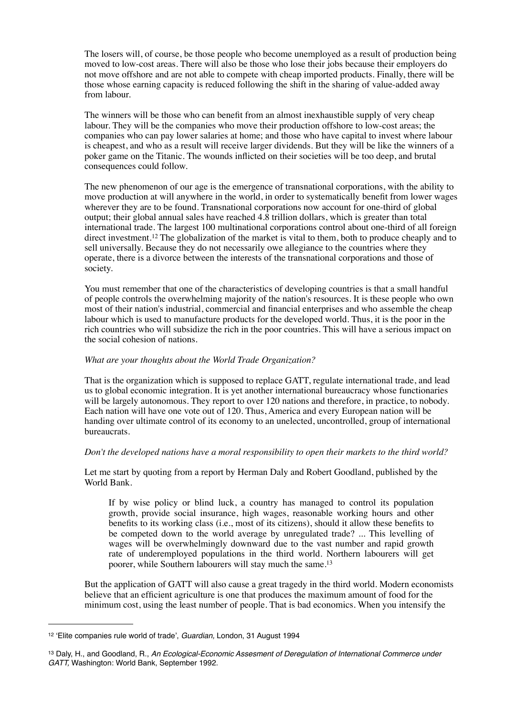The losers will, of course, be those people who become unemployed as a result of production being moved to low-cost areas. There will also be those who lose their jobs because their employers do not move offshore and are not able to compete with cheap imported products. Finally, there will be those whose earning capacity is reduced following the shift in the sharing of value-added away from labour.

The winners will be those who can benefit from an almost inexhaustible supply of very cheap labour. They will be the companies who move their production offshore to low-cost areas; the companies who can pay lower salaries at home; and those who have capital to invest where labour is cheapest, and who as a result will receive larger dividends. But they will be like the winners of a poker game on the Titanic. The wounds inflicted on their societies will be too deep, and brutal consequences could follow.

The new phenomenon of our age is the emergence of transnational corporations, with the ability to move production at will anywhere in the world, in order to systematically benefit from lower wages wherever they are to be found. Transnational corporations now account for one-third of global output; their global annual sales have reached 4.8 trillion dollars, which is greater than total international trade. The largest 100 multinational corporations control about one-third of all foreign direct investment[.12](#page-4-0) The globalization of the market is vital to them, both to produce cheaply and to sell universally. Because they do not necessarily owe allegiance to the countries where they operate, there is a divorce between the interests of the transnational corporations and those of society.

You must remember that one of the characteristics of developing countries is that a small handful of people controls the overwhelming majority of the nation's resources. It is these people who own most of their nation's industrial, commercial and financial enterprises and who assemble the cheap labour which is used to manufacture products for the developed world. Thus, it is the poor in the rich countries who will subsidize the rich in the poor countries. This will have a serious impact on the social cohesion of nations.

### *What are your thoughts about the World Trade Organization?*

That is the organization which is supposed to replace GATT, regulate international trade, and lead us to global economic integration. It is yet another international bureaucracy whose functionaries will be largely autonomous. They report to over 120 nations and therefore, in practice, to nobody. Each nation will have one vote out of 120. Thus, America and every European nation will be handing over ultimate control of its economy to an unelected, uncontrolled, group of international bureaucrats.

### *Don't the developed nations have a moral responsibility to open their markets to the third world?*

Let me start by quoting from a report by Herman Daly and Robert Goodland, published by the World Bank.

If by wise policy or blind luck, a country has managed to control its population growth, provide social insurance, high wages, reasonable working hours and other benefits to its working class (i.e., most of its citizens), should it allow these benefits to be competed down to the world average by unregulated trade? ... This levelling of wages will be overwhelmingly downward due to the vast number and rapid growth rate of underemployed populations in the third world. Northern labourers will get poorer, while Southern labourers will stay much the same.[13](#page-4-1)

But the application of GATT will also cause a great tragedy in the third world. Modern economists believe that an efficient agriculture is one that produces the maximum amount of food for the minimum cost, using the least number of people. That is bad economics. When you intensify the

<span id="page-4-0"></span><sup>12</sup> ʻElite companies rule world of trade', *Guardian,* London, 31 August 1994

<span id="page-4-1"></span><sup>13</sup> Daly, H., and Goodland, R., *An Ecological-Economic Assesment of Deregulation of International Commerce under GATT,* Washington: World Bank, September 1992.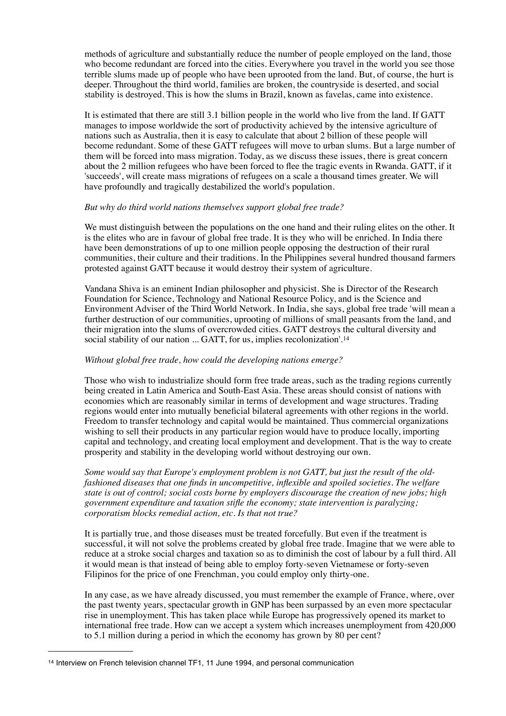methods of agriculture and substantially reduce the number of people employed on the land, those who become redundant are forced into the cities. Everywhere you travel in the world you see those terrible slums made up of people who have been uprooted from the land. But, of course, the hurt is deeper. Throughout the third world, families are broken, the countryside is deserted, and social stability is destroyed. This is how the slums in Brazil, known as favelas, came into existence.

It is estimated that there are still 3.1 billion people in the world who live from the land. If GATT manages to impose worldwide the sort of productivity achieved by the intensive agriculture of nations such as Australia, then it is easy to calculate that about 2 billion of these people will become redundant. Some of these GATT refugees will move to urban slums. But a large number of them will be forced into mass migration. Today, as we discuss these issues, there is great concern about the 2 million refugees who have been forced to flee the tragic events in Rwanda. GATT, if it 'succeeds', will create mass migrations of refugees on a scale a thousand times greater. We will have profoundly and tragically destabilized the world's population.

### *But why do third world nations themselves support global free trade?*

We must distinguish between the populations on the one hand and their ruling elites on the other. It is the elites who are in favour of global free trade. It is they who will be enriched. In India there have been demonstrations of up to one million people opposing the destruction of their rural communities, their culture and their traditions. In the Philippines several hundred thousand farmers protested against GATT because it would destroy their system of agriculture.

Vandana Shiva is an eminent Indian philosopher and physicist. She is Director of the Research Foundation for Science, Technology and National Resource Policy, and is the Science and Environment Adviser of the Third World Network. In India, she says, global free trade 'will mean a further destruction of our communities, uprooting of millions of small peasants from the land, and their migration into the slums of overcrowded cities. GATT destroys the cultural diversity and social stability of our nation ... GATT, for us, implies recolonization'[.14](#page-5-0)

### *Without global free trade, how could the developing nations emerge?*

Those who wish to industrialize should form free trade areas, such as the trading regions currently being created in Latin America and South-East Asia. These areas should consist of nations with economies which are reasonably similar in terms of development and wage structures. Trading regions would enter into mutually beneficial bilateral agreements with other regions in the world. Freedom to transfer technology and capital would be maintained. Thus commercial organizations wishing to sell their products in any particular region would have to produce locally, importing capital and technology, and creating local employment and development. That is the way to create prosperity and stability in the developing world without destroying our own.

*Some would say that Europe's employment problem is not GATT, but just the result of the oldfashioned diseases that one finds in uncompetitive, inflexible and spoiled societies. The welfare state is out of control; social costs borne by employers discourage the creation of new jobs; high government expenditure and taxation stifle the economy; state intervention is paralyzing; corporatism blocks remedial action, etc. Is that not true?* 

It is partially true, and those diseases must be treated forcefully. But even if the treatment is successful, it will not solve the problems created by global free trade. Imagine that we were able to reduce at a stroke social charges and taxation so as to diminish the cost of labour by a full third. All it would mean is that instead of being able to employ forty-seven Vietnamese or forty-seven Filipinos for the price of one Frenchman, you could employ only thirty-one.

In any case, as we have already discussed, you must remember the example of France, where, over the past twenty years, spectacular growth in GNP has been surpassed by an even more spectacular rise in unemployment. This has taken place while Europe has progressively opened its market to international free trade. How can we accept a system which increases unemployment from 420,000 to 5.1 million during a period in which the economy has grown by 80 per cent?

<span id="page-5-0"></span><sup>14</sup> Interview on French television channel TF1, 11 June 1994, and personal communication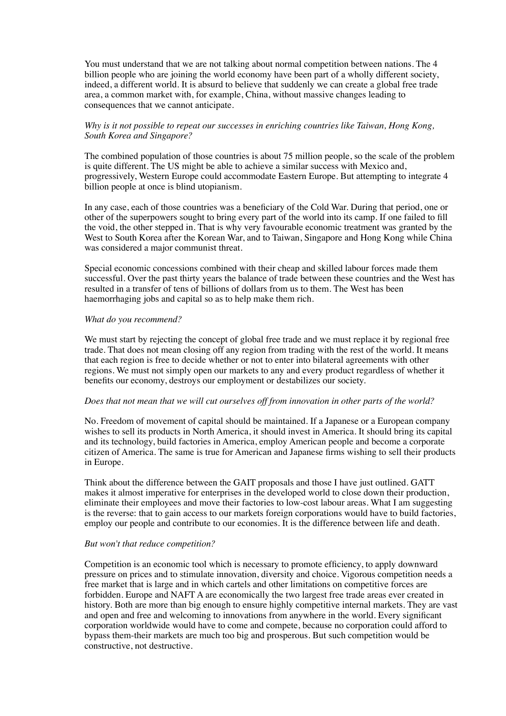You must understand that we are not talking about normal competition between nations. The 4 billion people who are joining the world economy have been part of a wholly different society, indeed, a different world. It is absurd to believe that suddenly we can create a global free trade area, a common market with, for example, China, without massive changes leading to consequences that we cannot anticipate.

### *Why is it not possible to repeat our successes in enriching countries like Taiwan, Hong Kong, South Korea and Singapore?*

The combined population of those countries is about 75 million people, so the scale of the problem is quite different. The US might be able to achieve a similar success with Mexico and, progressively, Western Europe could accommodate Eastern Europe. But attempting to integrate 4 billion people at once is blind utopianism.

In any case, each of those countries was a beneficiary of the Cold War. During that period, one or other of the superpowers sought to bring every part of the world into its camp. If one failed to fill the void, the other stepped in. That is why very favourable economic treatment was granted by the West to South Korea after the Korean War, and to Taiwan, Singapore and Hong Kong while China was considered a major communist threat.

Special economic concessions combined with their cheap and skilled labour forces made them successful. Over the past thirty years the balance of trade between these countries and the West has resulted in a transfer of tens of billions of dollars from us to them. The West has been haemorrhaging jobs and capital so as to help make them rich.

### *What do you recommend?*

We must start by rejecting the concept of global free trade and we must replace it by regional free trade. That does not mean closing off any region from trading with the rest of the world. It means that each region is free to decide whether or not to enter into bilateral agreements with other regions. We must not simply open our markets to any and every product regardless of whether it benefits our economy, destroys our employment or destabilizes our society.

### *Does that not mean that we will cut ourselves off from innovation in other parts of the world?*

No. Freedom of movement of capital should be maintained. If a Japanese or a European company wishes to sell its products in North America, it should invest in America. It should bring its capital and its technology, build factories in America, employ American people and become a corporate citizen of America. The same is true for American and Japanese firms wishing to sell their products in Europe.

Think about the difference between the GAIT proposals and those I have just outlined. GATT makes it almost imperative for enterprises in the developed world to close down their production, eliminate their employees and move their factories to low-cost labour areas. What I am suggesting is the reverse: that to gain access to our markets foreign corporations would have to build factories, employ our people and contribute to our economies. It is the difference between life and death.

### *But won't that reduce competition?*

Competition is an economic tool which is necessary to promote efficiency, to apply downward pressure on prices and to stimulate innovation, diversity and choice. Vigorous competition needs a free market that is large and in which cartels and other limitations on competitive forces are forbidden. Europe and NAFT A are economically the two largest free trade areas ever created in history. Both are more than big enough to ensure highly competitive internal markets. They are vast and open and free and welcoming to innovations from anywhere in the world. Every significant corporation worldwide would have to come and compete, because no corporation could afford to bypass them-their markets are much too big and prosperous. But such competition would be constructive, not destructive.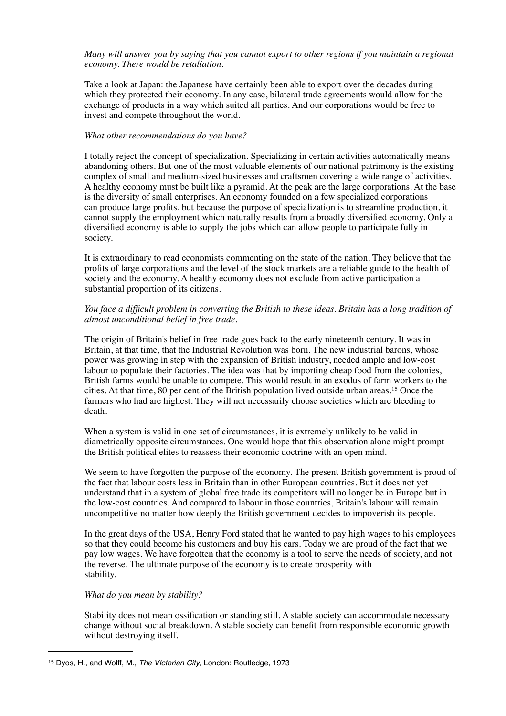### *Many will answer you by saying that you cannot export to other regions if you maintain a regional economy. There would be retaliation.*

Take a look at Japan: the Japanese have certainly been able to export over the decades during which they protected their economy. In any case, bilateral trade agreements would allow for the exchange of products in a way which suited all parties. And our corporations would be free to invest and compete throughout the world.

### *What other recommendations do you have?*

I totally reject the concept of specialization. Specializing in certain activities automatically means abandoning others. But one of the most valuable elements of our national patrimony is the existing complex of small and medium-sized businesses and craftsmen covering a wide range of activities. A healthy economy must be built like a pyramid. At the peak are the large corporations. At the base is the diversity of small enterprises. An economy founded on a few specialized corporations can produce large profits, but because the purpose of specialization is to streamline production, it cannot supply the employment which naturally results from a broadly diversified economy. Only a diversified economy is able to supply the jobs which can allow people to participate fully in society.

It is extraordinary to read economists commenting on the state of the nation. They believe that the profits of large corporations and the level of the stock markets are a reliable guide to the health of society and the economy. A healthy economy does not exclude from active participation a substantial proportion of its citizens.

### *You face a difficult problem in converting the British to these ideas. Britain has a long tradition of almost unconditional belief in free trade.*

The origin of Britain's belief in free trade goes back to the early nineteenth century. It was in Britain, at that time, that the Industrial Revolution was born. The new industrial barons, whose power was growing in step with the expansion of British industry, needed ample and low-cost labour to populate their factories. The idea was that by importing cheap food from the colonies, British farms would be unable to compete. This would result in an exodus of farm workers to the cities. At that time, 80 per cent of the British population lived outside urban areas[.15](#page-7-0) Once the farmers who had are highest. They will not necessarily choose societies which are bleeding to death.

When a system is valid in one set of circumstances, it is extremely unlikely to be valid in diametrically opposite circumstances. One would hope that this observation alone might prompt the British political elites to reassess their economic doctrine with an open mind.

We seem to have forgotten the purpose of the economy. The present British government is proud of the fact that labour costs less in Britain than in other European countries. But it does not yet understand that in a system of global free trade its competitors will no longer be in Europe but in the low-cost countries. And compared to labour in those countries, Britain's labour will remain uncompetitive no matter how deeply the British government decides to impoverish its people.

In the great days of the USA, Henry Ford stated that he wanted to pay high wages to his employees so that they could become his customers and buy his cars. Today we are proud of the fact that we pay low wages. We have forgotten that the economy is a tool to serve the needs of society, and not the reverse. The ultimate purpose of the economy is to create prosperity with stability.

### *What do you mean by stability?*

Stability does not mean ossification or standing still. A stable society can accommodate necessary change without social breakdown. A stable society can benefit from responsible economic growth without destroying itself.

<span id="page-7-0"></span><sup>15</sup> Dyos, H., and Wolff, M., *The VIctorian City*, London: Routledge, 1973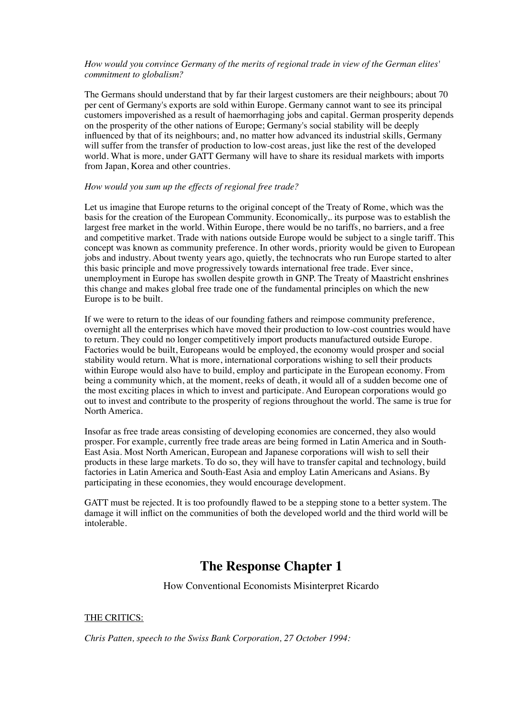### *How would you convince Germany of the merits of regional trade in view of the German elites' commitment to globalism?*

The Germans should understand that by far their largest customers are their neighbours; about 70 per cent of Germany's exports are sold within Europe. Germany cannot want to see its principal customers impoverished as a result of haemorrhaging jobs and capital. German prosperity depends on the prosperity of the other nations of Europe; Germany's social stability will be deeply influenced by that of its neighbours; and, no matter how advanced its industrial skills, Germany will suffer from the transfer of production to low-cost areas, just like the rest of the developed world. What is more, under GATT Germany will have to share its residual markets with imports from Japan, Korea and other countries.

### *How would you sum up the effects of regional free trade?*

Let us imagine that Europe returns to the original concept of the Treaty of Rome, which was the basis for the creation of the European Community. Economically,. its purpose was to establish the largest free market in the world. Within Europe, there would be no tariffs, no barriers, and a free and competitive market. Trade with nations outside Europe would be subject to a single tariff. This concept was known as community preference. In other words, priority would be given to European jobs and industry. About twenty years ago, quietly, the technocrats who run Europe started to alter this basic principle and move progressively towards international free trade. Ever since, unemployment in Europe has swollen despite growth in GNP. The Treaty of Maastricht enshrines this change and makes global free trade one of the fundamental principles on which the new Europe is to be built.

If we were to return to the ideas of our founding fathers and reimpose community preference, overnight all the enterprises which have moved their production to low-cost countries would have to return. They could no longer competitively import products manufactured outside Europe. Factories would be built, Europeans would be employed, the economy would prosper and social stability would return. What is more, international corporations wishing to sell their products within Europe would also have to build, employ and participate in the European economy. From being a community which, at the moment, reeks of death, it would all of a sudden become one of the most exciting places in which to invest and participate. And European corporations would go out to invest and contribute to the prosperity of regions throughout the world. The same is true for North America.

Insofar as free trade areas consisting of developing economies are concerned, they also would prosper. For example, currently free trade areas are being formed in Latin America and in South-East Asia. Most North American, European and Japanese corporations will wish to sell their products in these large markets. To do so, they will have to transfer capital and technology, build factories in Latin America and South-East Asia and employ Latin Americans and Asians. By participating in these economies, they would encourage development.

GATT must be rejected. It is too profoundly flawed to be a stepping stone to a better system. The damage it will inflict on the communities of both the developed world and the third world will be intolerable.

# **The Response Chapter 1**

How Conventional Economists Misinterpret Ricardo

### THE CRITICS:

*Chris Patten, speech to the Swiss Bank Corporation, 27 October 1994:*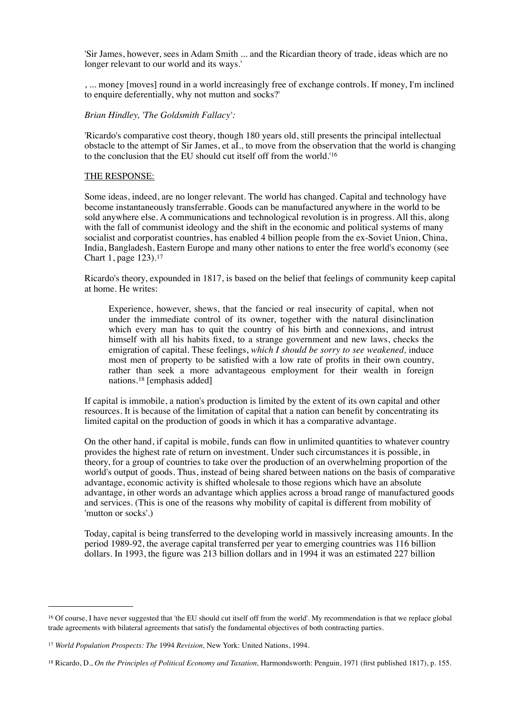'Sir James, however, sees in Adam Smith ... and the Ricardian theory of trade, ideas which are no longer relevant to our world and its ways.'

, ... money [moves] round in a world increasingly free of exchange controls. If money, I'm inclined to enquire deferentially, why not mutton and socks?'

### *Brian Hindley, 'The Goldsmith Fallacy':*

'Ricardo's comparative cost theory, though 180 years old, still presents the principal intellectual obstacle to the attempt of Sir James, et aI., to move from the observation that the world is changing to the conclusion that the EU should cut itself off from the world.'[16](#page-9-0)

### THE RESPONSE:

Some ideas, indeed, are no longer relevant. The world has changed. Capital and technology have become instantaneously transferrable. Goods can be manufactured anywhere in the world to be sold anywhere else. A communications and technological revolution is in progress. All this, along with the fall of communist ideology and the shift in the economic and political systems of many socialist and corporatist countries, has enabled 4 billion people from the ex-Soviet Union, China, India, Bangladesh, Eastern Europe and many other nations to enter the free world's economy (see Chart 1, page 123)[.17](#page-9-1)

Ricardo's theory, expounded in 1817, is based on the belief that feelings of community keep capital at home. He writes:

Experience, however, shews, that the fancied or real insecurity of capital, when not under the immediate control of its owner, together with the natural disinclination which every man has to quit the country of his birth and connexions, and intrust himself with all his habits fixed, to a strange government and new laws, checks the emigration of capital. These feelings, *which I should be sorry to see weakened,* induce most men of property to be satisfied with a low rate of profits in their own country, rather than seek a more advantageous employment for their wealth in foreign nations.[18](#page-9-2) [emphasis added]

If capital is immobile, a nation's production is limited by the extent of its own capital and other resources. It is because of the limitation of capital that a nation can benefit by concentrating its limited capital on the production of goods in which it has a comparative advantage.

On the other hand, if capital is mobile, funds can flow in unlimited quantities to whatever country provides the highest rate of return on investment. Under such circumstances it is possible, in theory, for a group of countries to take over the production of an overwhelming proportion of the world's output of goods. Thus, instead of being shared between nations on the basis of comparative advantage, economic activity is shifted wholesale to those regions which have an absolute advantage, in other words an advantage which applies across a broad range of manufactured goods and services. (This is one of the reasons why mobility of capital is different from mobility of 'mutton or socks'.)

Today, capital is being transferred to the developing world in massively increasing amounts. In the period 1989-92, the average capital transferred per year to emerging countries was 116 billion dollars. In 1993, the figure was 213 billion dollars and in 1994 it was an estimated 227 billion

<span id="page-9-0"></span><sup>&</sup>lt;sup>16</sup> Of course, I have never suggested that 'the EU should cut itself off from the world'. My recommendation is that we replace global trade agreements with bilateral agreements that satisfy the fundamental objectives of both contracting parties.

<span id="page-9-1"></span><sup>17</sup> *World Population Prospects: The* 1994 *Revision,* New York: United Nations, 1994.

<span id="page-9-2"></span><sup>&</sup>lt;sup>18</sup> Ricardo, D., *On the Principles of Political Economy and Taxation*, Harmondsworth: Penguin, 1971 (first published 1817), p. 155.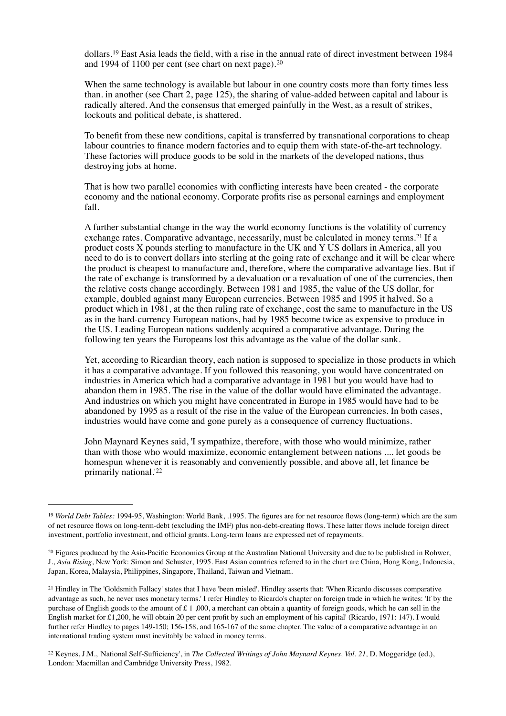dollars[.19](#page-10-0) East Asia leads the field, with a rise in the annual rate of direct investment between 1984 and 1994 of 1100 per cent (see chart on next page).[20](#page-10-1)

When the same technology is available but labour in one country costs more than forty times less than. in another (see Chart 2, page 125), the sharing of value-added between capital and labour is radically altered. And the consensus that emerged painfully in the West, as a result of strikes, lockouts and political debate, is shattered.

To benefit from these new conditions, capital is transferred by transnational corporations to cheap labour countries to finance modern factories and to equip them with state-of-the-art technology. These factories will produce goods to be sold in the markets of the developed nations, thus destroying jobs at home.

That is how two parallel economies with conflicting interests have been created - the corporate economy and the national economy. Corporate profits rise as personal earnings and employment fall.

A further substantial change in the way the world economy functions is the volatility of currency exchange rates. Comparative advantage, necessarily, must be calculated in money terms[.21](#page-10-2) If a product costs X pounds sterling to manufacture in the UK and Y US dollars in America, all you need to do is to convert dollars into sterling at the going rate of exchange and it will be clear where the product is cheapest to manufacture and, therefore, where the comparative advantage lies. But if the rate of exchange is transformed by a devaluation or a revaluation of one of the currencies, then the relative costs change accordingly. Between 1981 and 1985, the value of the US dollar, for example, doubled against many European currencies. Between 1985 and 1995 it halved. So a product which in 1981, at the then ruling rate of exchange, cost the same to manufacture in the US as in the hard-currency European nations, had by 1985 become twice as expensive to produce in the US. Leading European nations suddenly acquired a comparative advantage. During the following ten years the Europeans lost this advantage as the value of the dollar sank.

Yet, according to Ricardian theory, each nation is supposed to specialize in those products in which it has a comparative advantage. If you followed this reasoning, you would have concentrated on industries in America which had a comparative advantage in 1981 but you would have had to abandon them in 1985. The rise in the value of the dollar would have eliminated the advantage. And industries on which you might have concentrated in Europe in 1985 would have had to be abandoned by 1995 as a result of the rise in the value of the European currencies. In both cases, industries would have come and gone purely as a consequence of currency fluctuations.

John Maynard Keynes said, 'I sympathize, therefore, with those who would minimize, rather than with those who would maximize, economic entanglement between nations .... let goods be homespun whenever it is reasonably and conveniently possible, and above all, let finance be primarily national.'[22](#page-10-3)

<span id="page-10-3"></span><sup>22</sup> Keynes, J.M., 'National Self-Sufficiency', in *The Collected Writings of John Maynard Keynes, Vol.* 21, D. Moggeridge (ed.), London: Macmillan and Cambridge University Press, 1982.

<span id="page-10-0"></span><sup>19</sup> *World Debt Tables:* 1994-95, Washington: World Bank, .1995. The figures are for net resource flows (long-term) which are the sum of net resource flows on long-term-debt (excluding the IMF) plus non-debt-creating flows. These latter flows include foreign direct investment, portfolio investment, and official grants. Long-term loans are expressed net of repayments.

<span id="page-10-1"></span><sup>20</sup> Figures produced by the Asia-Pacific Economics Group at the Australian National University and due to be published in Rohwer, J., *Asia Rising,* New York: Simon and Schuster, 1995. East Asian countries referred to in the chart are China, Hong Kong, Indonesia, Japan, Korea, Malaysia, Philippines, Singapore, Thailand, Taiwan and Vietnam.

<span id="page-10-2"></span><sup>21</sup> Hindley in The 'Goldsmith Fallacy' states that I have 'been misled'. Hindley asserts that: 'When Ricardo discusses comparative advantage as such, he never uses monetary terms.' I refer Hindley to Ricardo's chapter on foreign trade in which he writes: 'If by the purchase of English goods to the amount of  $\pounds$  1,000, a merchant can obtain a quantity of foreign goods, which he can sell in the English market for £1,200, he will obtain 20 per cent profit by such an employment of his capital' (Ricardo, 1971: 147). I would further refer Hindley to pages 149-150; 156-158, and 165-167 of the same chapter. The value of a comparative advantage in an international trading system must inevitably be valued in money terms.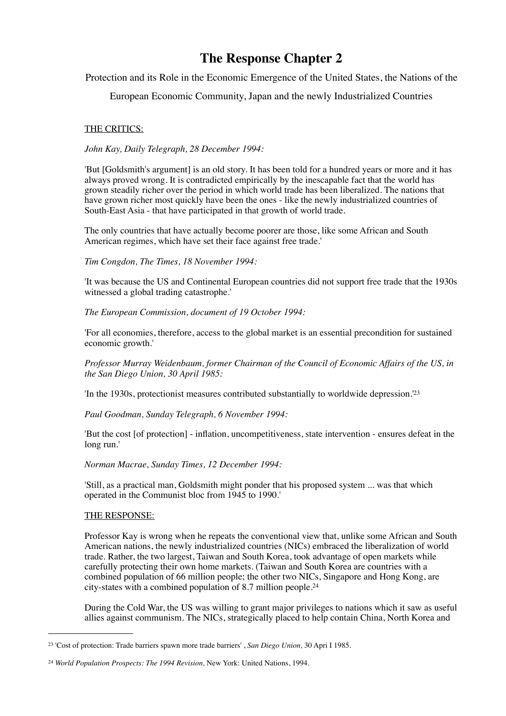# **The Response Chapter 2**

Protection and its Role in the Economic Emergence of the United States, the Nations of the

European Economic Community, Japan and the newly Industrialized Countries

## THE CRITICS:

*John Kay, Daily Telegraph, 28 December 1994:* 

'But [Goldsmith's argument] is an old story. It has been told for a hundred years or more and it has always proved wrong. It is contradicted empirically by the inescapable fact that the world has grown steadily richer over the period in which world trade has been liberalized. The nations that have grown richer most quickly have been the ones - like the newly industrialized countries of South-East Asia - that have participated in that growth of world trade.

The only countries that have actually become poorer are those, like some African and South American regimes, which have set their face against free trade.'

*Tim Congdon, The Times, 18 November 1994:* 

'It was because the US and Continental European countries did not support free trade that the 1930s witnessed a global trading catastrophe.'

*The European Commission, document of 19 October 1994:* 

'For all economies, therefore, access to the global market is an essential precondition for sustained economic growth.'

*Professor Murray Weidenbaum, former Chairman of the Council of Economic Affairs of the US, in the San Diego Union, 30 April 1985:* 

'In the 1930s, protectionist measures contributed substantially to worldwide depression.['23](#page-11-0)

*Paul Goodman, Sunday Telegraph, 6 November 1994:* 

'But the cost [of protection] - inflation, uncompetitiveness, state intervention - ensures defeat in the long run.'

*Norman Macrae, Sunday Times, 12 December 1994:* 

'Still, as a practical man, Goldsmith might ponder that his proposed system ... was that which operated in the Communist bloc from 1945 to 1990.'

### THE RESPONSE:

Professor Kay is wrong when he repeats the conventional view that, unlike some African and South American nations, the newly industrialized countries (NICs) embraced the liberalization of world trade. Rather, the two largest, Taiwan and South Korea, took advantage of open markets while carefully protecting their own home markets. (Taiwan and South Korea are countries with a combined population of 66 million people; the other two NICs, Singapore and Hong Kong, are city-states with a combined population of 8.7 million people[.24](#page-11-1)

During the Cold War, the US was willing to grant major privileges to nations which it saw as useful allies against communism. The NICs, strategically placed to help contain China, North Korea and

<span id="page-11-0"></span><sup>23</sup> 'Cost of protection: Trade barriers spawn more trade barriers' , *San Diego Union,* 30 Apri I 1985.

<span id="page-11-1"></span><sup>24</sup> *World Population Prospects: The 1994 Revision,* New York: United Nations, 1994.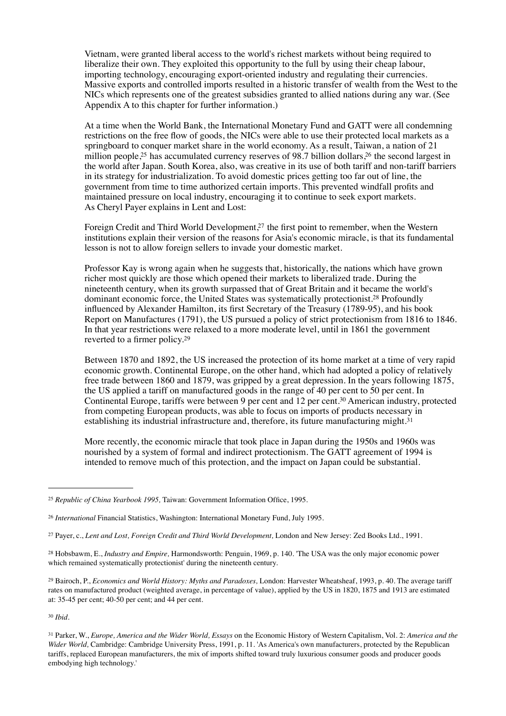Vietnam, were granted liberal access to the world's richest markets without being required to liberalize their own. They exploited this opportunity to the full by using their cheap labour, importing technology, encouraging export-oriented industry and regulating their currencies. Massive exports and controlled imports resulted in a historic transfer of wealth from the West to the NICs which represents one of the greatest subsidies granted to allied nations during any war. (See Appendix A to this chapter for further information.)

At a time when the World Bank, the International Monetary Fund and GATT were all condemning restrictions on the free flow of goods, the NICs were able to use their protected local markets as a springboard to conquer market share in the world economy. As a result, Taiwan, a nation of 21 million people<sup> $25$ </sup> has accumulated currency reserves of 98.7 billion dollars,  $2<sup>6</sup>$  the second largest in the world after Japan. South Korea, also, was creative in its use of both tariff and non-tariff barriers in its strategy for industrialization. To avoid domestic prices getting too far out of line, the government from time to time authorized certain imports. This prevented windfall profits and maintained pressure on local industry, encouraging it to continue to seek export markets. As Cheryl Payer explains in Lent and Lost:

Foreign Credit and Third World Development,<sup>27</sup> the first point to remember, when the Western institutions explain their version of the reasons for Asia's economic miracle, is that its fundamental lesson is not to allow foreign sellers to invade your domestic market.

Professor Kay is wrong again when he suggests that, historically, the nations which have grown richer most quickly are those which opened their markets to liberalized trade. During the nineteenth century, when its growth surpassed that of Great Britain and it became the world's dominant economic force, the United States was systematically protectionist[.28](#page-12-3) Profoundly influenced by Alexander Hamilton, its first Secretary of the Treasury (1789-95), and his book Report on Manufactures (1791), the US pursued a policy of strict protectionism from 1816 to 1846. In that year restrictions were relaxed to a more moderate level, until in 1861 the government reverted to a firmer policy[.29](#page-12-4)

Between 1870 and 1892, the US increased the protection of its home market at a time of very rapid economic growth. Continental Europe, on the other hand, which had adopted a policy of relatively free trade between 1860 and 1879, was gripped by a great depression. In the years following 1875, the US applied a tariff on manufactured goods in the range of 40 per cent to 50 per cent. In Continental Europe, tariffs were between 9 per cent and 12 per cent[.30](#page-12-5) American industry, protected from competing European products, was able to focus on imports of products necessary in establishing its industrial infrastructure and, therefore, its future manufacturing might.<sup>31</sup>

More recently, the economic miracle that took place in Japan during the 1950s and 1960s was nourished by a system of formal and indirect protectionism. The GATT agreement of 1994 is intended to remove much of this protection, and the impact on Japan could be substantial.

<span id="page-12-5"></span><sup>30</sup> *Ibid.* 

<span id="page-12-0"></span><sup>25</sup> *Republic of China Yearbook 1995,* Taiwan: Government Information Office, 1995.

<span id="page-12-1"></span><sup>26</sup> *International* Financial Statistics, Washington: International Monetary Fund, July 1995.

<span id="page-12-2"></span><sup>27</sup> Payer, c., *Lent and Lost, Foreign Credit and Third World Development,* London and New Jersey: Zed Books Ltd., 1991.

<span id="page-12-3"></span><sup>28</sup> Hobsbawm, E., *Industry and Empire,* Harmondsworth: Penguin, 1969, p. 140. 'The USA was the only major economic power which remained systematically protectionist' during the nineteenth century.

<span id="page-12-4"></span><sup>29</sup> Bairoch, P., *Economics and World History: Myths and Paradoxes,* London: Harvester Wheatsheaf, 1993, p. 40. The average tariff rates on manufactured product (weighted average, in percentage of value), applied by the US in 1820, 1875 and 1913 are estimated at: 35-45 per cent; 40-50 per cent; and 44 per cent.

<span id="page-12-6"></span><sup>31</sup> Parker, W., *Europe, America and the Wider World, Essays* on the Economic History of Western Capitalism, Vol. 2: *America and the Wider World,* Cambridge: Cambridge University Press, 1991, p. 11. 'As America's own manufacturers, protected by the Republican tariffs, replaced European manufacturers, the mix of imports shifted toward truly luxurious consumer goods and producer goods embodying high technology.'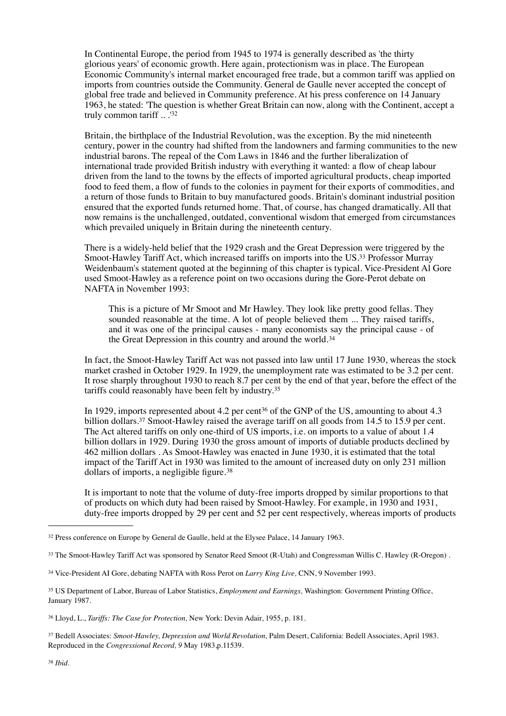In Continental Europe, the period from 1945 to 1974 is generally described as 'the thirty glorious years' of economic growth. Here again, protectionism was in place. The European Economic Community's internal market encouraged free trade, but a common tariff was applied on imports from countries outside the Community. General de Gaulle never accepted the concept of global free trade and believed in Community preference. At his press conference on 14 January 1963, he stated: 'The question is whether Great Britain can now, along with the Continent, accept a truly common tariff .. .['32](#page-13-0)

Britain, the birthplace of the Industrial Revolution, was the exception. By the mid nineteenth century, power in the country had shifted from the landowners and farming communities to the new industrial barons. The repeal of the Com Laws in 1846 and the further liberalization of international trade provided British industry with everything it wanted: a flow of cheap labour driven from the land to the towns by the effects of imported agricultural products, cheap imported food to feed them, a flow of funds to the colonies in payment for their exports of commodities, and a return of those funds to Britain to buy manufactured goods. Britain's dominant industrial position ensured that the exported funds returned home. That, of course, has changed dramatically. All that now remains is the unchallenged, outdated, conventional wisdom that emerged from circumstances which prevailed uniquely in Britain during the nineteenth century.

There is a widely-held belief that the 1929 crash and the Great Depression were triggered by the Smoot-Hawley Tariff Act, which increased tariffs on imports into the US[.33](#page-13-1) Professor Murray Weidenbaum's statement quoted at the beginning of this chapter is typical. Vice-President Al Gore used Smoot-Hawley as a reference point on two occasions during the Gore-Perot debate on NAFTA in November 1993:

This is a picture of Mr Smoot and Mr Hawley. They look like pretty good fellas. They sounded reasonable at the time. A lot of people believed them ... They raised tariffs, and it was one of the principal causes - many economists say the principal cause - of the Great Depression in this country and around the world.[34](#page-13-2)

In fact, the Smoot-Hawley Tariff Act was not passed into law until 17 June 1930, whereas the stock market crashed in October 1929. In 1929, the unemployment rate was estimated to be 3.2 per cent. It rose sharply throughout 1930 to reach 8.7 per cent by the end of that year, before the effect of the tariffs could reasonably have been felt by industry[.35](#page-13-3)

In 1929, imports represented about 4.2 per cent<sup>36</sup> of the GNP of the US, amounting to about 4.3 billion dollars.<sup>37</sup> Smoot-Hawley raised the average tariff on all goods from 14.5 to 15.9 per cent. The Act altered tariffs on only one-third of US imports, i.e. on imports to a value of about 1.4 billion dollars in 1929. During 1930 the gross amount of imports of dutiable products declined by 462 million dollars . As Smoot-Hawley was enacted in June 1930, it is estimated that the total impact of the Tariff Act in 1930 was limited to the amount of increased duty on only 231 million dollars of imports, a negligible figure.[38](#page-13-6)

It is important to note that the volume of duty-free imports dropped by similar proportions to that of products on which duty had been raised by Smoot-Hawley. For example, in 1930 and 1931, duty-free imports dropped by 29 per cent and 52 per cent respectively, whereas imports of products

<span id="page-13-0"></span><sup>&</sup>lt;sup>32</sup> Press conference on Europe by General de Gaulle, held at the Elysee Palace, 14 January 1963.

<span id="page-13-1"></span><sup>33</sup> The Smoot-Hawley Tariff Act was sponsored by Senator Reed Smoot (R-Utah) and Congressman Willis C. Hawley (R-Oregon) .

<span id="page-13-2"></span><sup>34</sup> Vice-President AI Gore, debating NAFTA with Ross Perot on *Larry King Live,* CNN, 9 November 1993.

<span id="page-13-3"></span><sup>35</sup> US Department of Labor, Bureau of Labor Statistics, *Employment and Earnings,* Washington: Government Printing Office, January 1987.

<span id="page-13-4"></span><sup>36</sup> Lloyd, L., *Tariffs: The Case for Protection,* New York: Devin Adair, 1955, p. 181.

<span id="page-13-6"></span><span id="page-13-5"></span><sup>37</sup> Bedell Associates: *Smoot-Hawley, Depression and World Revolution,* Palm Desert, California: Bedell Associates, April 1983. Reproduced in the *Congressional Record, 9* May 1983,p.11539.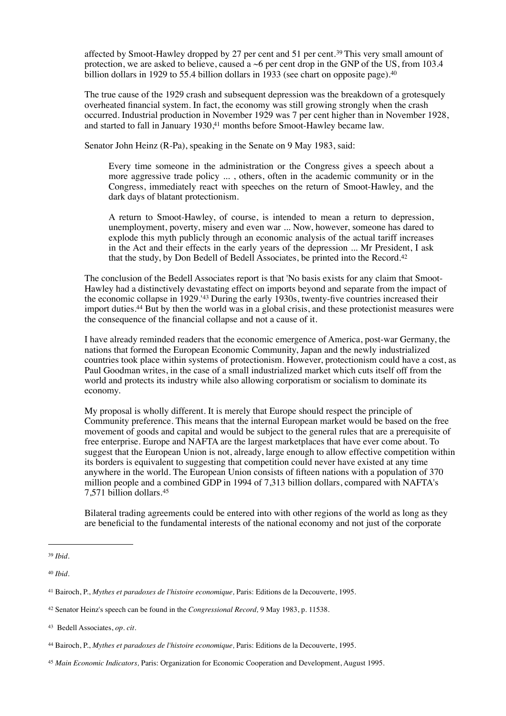affected by Smoot-Hawley dropped by 27 per cent and 51 per cent.<sup>[39](#page-14-0)</sup> This very small amount of protection, we are asked to believe, caused a  $\sim$ 6 per cent drop in the GNP of the US, from 103.4 billion dollars in 1929 to 55.4 billion dollars in 1933 (see chart on opposite page).<sup>40</sup>

The true cause of the 1929 crash and subsequent depression was the breakdown of a grotesquely overheated financial system. In fact, the economy was still growing strongly when the crash occurred. Industrial production in November 1929 was 7 per cent higher than in November 1928, and started to fall in January 1930,<sup>41</sup> months before Smoot-Hawley became law.

Senator John Heinz (R-Pa), speaking in the Senate on 9 May 1983, said:

Every time someone in the administration or the Congress gives a speech about a more aggressive trade policy ... , others, often in the academic community or in the Congress, immediately react with speeches on the return of Smoot-Hawley, and the dark days of blatant protectionism.

A return to Smoot-Hawley, of course, is intended to mean a return to depression, unemployment, poverty, misery and even war ... Now, however, someone has dared to explode this myth publicly through an economic analysis of the actual tariff increases in the Act and their effects in the early years of the depression ... Mr President, I ask that the study, by Don Bedell of Bedell Associates, be printed into the Record.[42](#page-14-3)

The conclusion of the Bedell Associates report is that 'No basis exists for any claim that Smoot-Hawley had a distinctively devastating effect on imports beyond and separate from the impact of the economic collapse in 1929.'[43](#page-14-4) During the early 1930s, twenty-five countries increased their import duties[.44](#page-14-5) But by then the world was in a global crisis, and these protectionist measures were the consequence of the financial collapse and not a cause of it.

I have already reminded readers that the economic emergence of America, post-war Germany, the nations that formed the European Economic Community, Japan and the newly industrialized countries took place within systems of protectionism. However, protectionism could have a cost, as Paul Goodman writes, in the case of a small industrialized market which cuts itself off from the world and protects its industry while also allowing corporatism or socialism to dominate its economy.

My proposal is wholly different. It is merely that Europe should respect the principle of Community preference. This means that the internal European market would be based on the free movement of goods and capital and would be subject to the general rules that are a prerequisite of free enterprise. Europe and NAFTA are the largest marketplaces that have ever come about. To suggest that the European Union is not, already, large enough to allow effective competition within its borders is equivalent to suggesting that competition could never have existed at any time anywhere in the world. The European Union consists of fifteen nations with a population of 370 million people and a combined GDP in 1994 of 7,313 billion dollars, compared with NAFTA's 7,571 billion dollars[.45](#page-14-6)

Bilateral trading agreements could be entered into with other regions of the world as long as they are beneficial to the fundamental interests of the national economy and not just of the corporate

<span id="page-14-0"></span><sup>39</sup> *Ibid.*

<span id="page-14-1"></span><sup>40</sup> *Ibid.* 

<span id="page-14-2"></span><sup>41</sup> Bairoch, P., *Mythes et paradoxes de l'histoire economique,* Paris: Editions de la Decouverte, 1995.

<span id="page-14-3"></span><sup>42</sup> Senator Heinz's speech can be found in the *Congressional Record,* 9 May 1983, p. 11538.

<span id="page-14-4"></span><sup>43</sup> Bedell Associates, *op. cit.* 

<span id="page-14-5"></span><sup>44</sup> Bairoch, P., *Mythes et paradoxes de l'histoire economique,* Paris: Editions de la Decouverte, 1995.

<span id="page-14-6"></span><sup>45</sup> *Main Economic Indicators,* Paris: Organization for Economic Cooperation and Development, August 1995.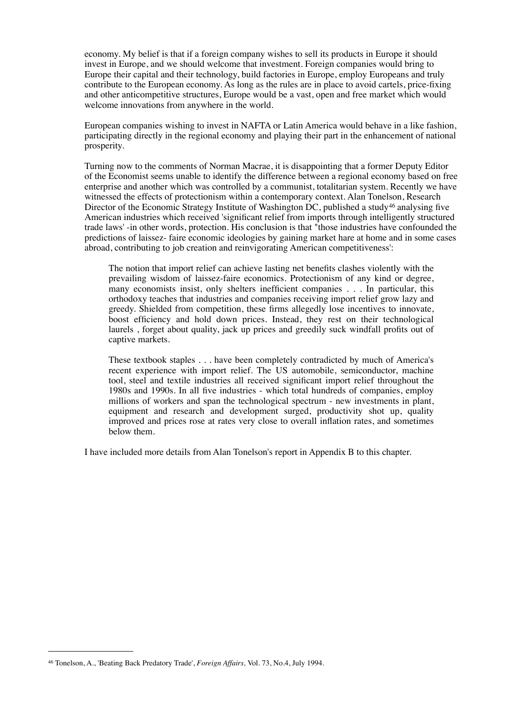economy. My belief is that if a foreign company wishes to sell its products in Europe it should invest in Europe, and we should welcome that investment. Foreign companies would bring to Europe their capital and their technology, build factories in Europe, employ Europeans and truly contribute to the European economy. As long as the rules are in place to avoid cartels, price-fixing and other anticompetitive structures, Europe would be a vast, open and free market which would welcome innovations from anywhere in the world.

European companies wishing to invest in NAFTA or Latin America would behave in a like fashion, participating directly in the regional economy and playing their part in the enhancement of national prosperity.

Turning now to the comments of Norman Macrae, it is disappointing that a former Deputy Editor of the Economist seems unable to identify the difference between a regional economy based on free enterprise and another which was controlled by a communist, totalitarian system. Recently we have witnessed the effects of protectionism within a contemporary context. Alan Tonelson, Research Director of the Economic Strategy Institute of Washington DC, published a study<sup>46</sup> analysing five American industries which received 'significant relief from imports through intelligently structured trade laws' -in other words, protection. His conclusion is that "those industries have confounded the predictions of laissez- faire economic ideologies by gaining market hare at home and in some cases abroad, contributing to job creation and reinvigorating American competitiveness':

The notion that import relief can achieve lasting net benefits clashes violently with the prevailing wisdom of laissez-faire economics. Protectionism of any kind or degree, many economists insist, only shelters inefficient companies . . . In particular, this orthodoxy teaches that industries and companies receiving import relief grow lazy and greedy. Shielded from competition, these firms allegedly lose incentives to innovate, boost efficiency and hold down prices. Instead, they rest on their technological laurels , forget about quality, jack up prices and greedily suck windfall profits out of captive markets.

These textbook staples . . . have been completely contradicted by much of America's recent experience with import relief. The US automobile, semiconductor, machine tool, steel and textile industries all received significant import relief throughout the 1980s and 1990s. In all five industries - which total hundreds of companies, employ millions of workers and span the technological spectrum - new investments in plant, equipment and research and development surged, productivity shot up, quality improved and prices rose at rates very close to overall inflation rates, and sometimes below them.

I have included more details from Alan Tonelson's report in Appendix B to this chapter.

<span id="page-15-0"></span><sup>46</sup> Tonelson, A., 'Beating Back Predatory Trade', *Foreign Affairs,* Vol. 73, No.4, July 1994.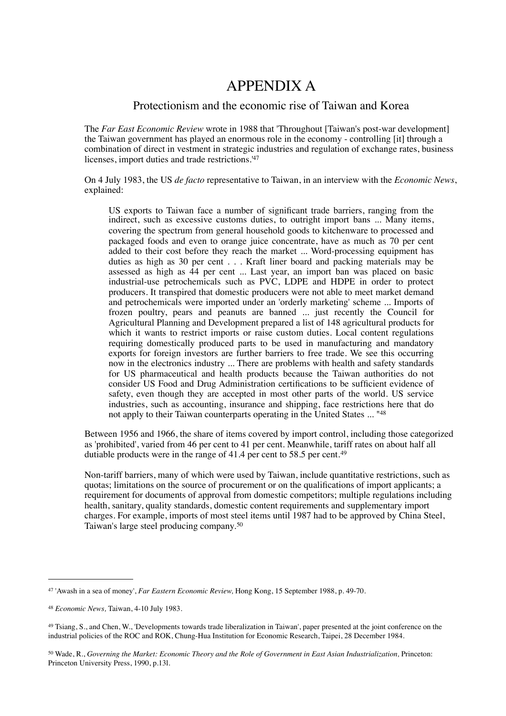# APPENDIX A

## Protectionism and the economic rise of Taiwan and Korea

The *Far East Economic Review* wrote in 1988 that 'Throughout [Taiwan's post-war development] the Taiwan government has played an enormous role in the economy - controlling [it] through a combination of direct in vestment in strategic industries and regulation of exchange rates, business licenses, import duties and trade restrictions.<sup>47</sup>

On 4 July 1983, the US *de facto* representative to Taiwan, in an interview with the *Economic News*, explained:

US exports to Taiwan face a number of significant trade barriers, ranging from the indirect, such as excessive customs duties, to outright import bans ... Many items, covering the spectrum from general household goods to kitchenware to processed and packaged foods and even to orange juice concentrate, have as much as 70 per cent added to their cost before they reach the market ... Word-processing equipment has duties as high as 30 per cent . . . Kraft liner board and packing materials may be assessed as high as 44 per cent ... Last year, an import ban was placed on basic industrial-use petrochemicals such as PVC, LDPE and HDPE in order to protect producers. It transpired that domestic producers were not able to meet market demand and petrochemicals were imported under an 'orderly marketing' scheme ... Imports of frozen poultry, pears and peanuts are banned ... just recently the Council for Agricultural Planning and Development prepared a list of 148 agricultural products for which it wants to restrict imports or raise custom duties. Local content regulations requiring domestically produced parts to be used in manufacturing and mandatory exports for foreign investors are further barriers to free trade. We see this occurring now in the electronics industry ... There are problems with health and safety standards for US pharmaceutical and health products because the Taiwan authorities do not consider US Food and Drug Administration certifications to be sufficient evidence of safety, even though they are accepted in most other parts of the world. US service industries, such as accounting, insurance and shipping, face restrictions here that do not apply to their Taiwan counterparts operating in the United States ... "[48](#page-16-1)

Between 1956 and 1966, the share of items covered by import control, including those categorized as 'prohibited', varied from 46 per cent to 41 per cent. Meanwhile, tariff rates on about half all dutiable products were in the range of 41.4 per cent to 58.5 per cent.<sup>[49](#page-16-2)</sup>

Non-tariff barriers, many of which were used by Taiwan, include quantitative restrictions, such as quotas; limitations on the source of procurement or on the qualifications of import applicants; a requirement for documents of approval from domestic competitors; multiple regulations including health, sanitary, quality standards, domestic content requirements and supplementary import charges. For example, imports of most steel items until 1987 had to be approved by China Steel, Taiwan's large steel producing company.[50](#page-16-3)

<span id="page-16-0"></span><sup>47</sup> 'Awash in a sea of money', *Far Eastern Economic Review,* Hong Kong, 15 September 1988, p. 49-70.

<span id="page-16-1"></span><sup>48</sup> *Economic News,* Taiwan, 4-10 July 1983.

<span id="page-16-2"></span><sup>49</sup> Tsiang, S., and Chen, W., 'Developments towards trade liberalization in Taiwan', paper presented at the joint conference on the industrial policies of the ROC and ROK, Chung-Hua Institution for Economic Research, Taipei, 28 December 1984.

<span id="page-16-3"></span><sup>50</sup> Wade, R., *Governing the Market: Economic Theory and the Role of Government in East Asian Industrialization,* Princeton: Princeton University Press, 1990, p.13l.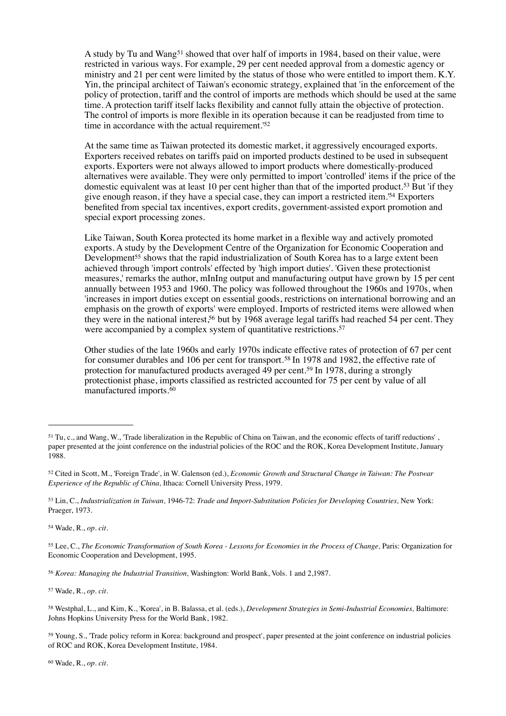A study by Tu and Wan[g51](#page-17-0) showed that over half of imports in 1984, based on their value, were restricted in various ways. For example, 29 per cent needed approval from a domestic agency or ministry and 21 per cent were limited by the status of those who were entitled to import them. K.Y. Yin, the principal architect of Taiwan's economic strategy, explained that 'in the enforcement of the policy of protection, tariff and the control of imports are methods which should be used at the same time. A protection tariff itself lacks flexibility and cannot fully attain the objective of protection. The control of imports is more flexible in its operation because it can be readjusted from time to time in accordance with the actual requirement.<sup>['52](#page-17-1)</sup>

At the same time as Taiwan protected its domestic market, it aggressively encouraged exports. Exporters received rebates on tariffs paid on imported products destined to be used in subsequent exports. Exporters were not always allowed to import products where domestically-produced alternatives were available. They were only permitted to import 'controlled' items if the price of the domestic equivalent was at least 10 per cent higher than that of the imported product.<sup>53</sup> But 'if they give enough reason, if they have a special case, they can import a restricted item.['54](#page-17-3) Exporters benefited from special tax incentives, export credits, government-assisted export promotion and special export processing zones.

Like Taiwan, South Korea protected its home market in a flexible way and actively promoted exports. A study by the Development Centre of the Organization for Economic Cooperation and Development<sup>55</sup> shows that the rapid industrialization of South Korea has to a large extent been achieved through 'import controls' effected by 'high import duties'. 'Given these protectionist measures,' remarks the author, mInIng output and manufacturing output have grown by 15 per cent annually between 1953 and 1960. The policy was followed throughout the 1960s and 1970s, when 'increases in import duties except on essential goods, restrictions on international borrowing and an emphasis on the growth of exports' were employed. Imports of restricted items were allowed when they were in the national interest,<sup>56</sup> but by 1968 average legal tariffs had reached 54 per cent. They were accompanied by a complex system of quantitative restrictions.<sup>[57](#page-17-6)</sup>

Other studies of the late 1960s and early 1970s indicate effective rates of protection of 67 per cent for consumer durables and 106 per cent for transport.[58](#page-17-7) In 1978 and 1982, the effective rate of protection for manufactured products averaged 49 per cent[.59](#page-17-8) In 1978, during a strongly protectionist phase, imports classified as restricted accounted for 75 per cent by value of all manufactured imports.[60](#page-17-9)

<span id="page-17-3"></span><sup>54</sup> Wade, R., *op. cit.* 

<span id="page-17-5"></span><sup>56</sup> *Korea: Managing the Industrial Transition,* Washington: World Bank, Vols. 1 and 2,1987.

<span id="page-17-6"></span><sup>57</sup> Wade, R., *op. cit.* 

<span id="page-17-9"></span><sup>60</sup> Wade, R., *op. cit.* 

<span id="page-17-0"></span><sup>51</sup> Tu, c., and Wang, W., 'Trade liberalization in the Republic of China on Taiwan, and the economic effects of tariff reductions' , paper presented at the joint conference on the industrial policies of the ROC and the ROK, Korea Development Institute, January 1988.

<span id="page-17-1"></span><sup>52</sup> Cited in Scott, M., 'Foreign Trade', in W. Galenson (ed.), *Economic Growth and Structural Change in Taiwan: The Postwar Experience of the Republic of China,* Ithaca: Cornell University Press, 1979.

<span id="page-17-2"></span><sup>53</sup> Lin, C., *Industrialization in Taiwan,* 1946-72: *Trade and Import-Substitution Policies for Developing Countries,* New York: Praeger, 1973.

<span id="page-17-4"></span><sup>55</sup> Lee, C., *The Economic Transformation of South Korea - Lessons for Economies in the Process of Change,* Paris: Organization for Economic Cooperation and Development, 1995.

<span id="page-17-7"></span><sup>58</sup> Westphal, L., and Kim, K., 'Korea', in B. Balassa, et al. (eds.), *Development Strategies in Semi-Industrial Economies,* Baltimore: Johns Hopkins University Press for the World Bank, 1982.

<span id="page-17-8"></span><sup>59</sup> Young, S., 'Trade policy reform in Korea: background and prospect', paper presented at the joint conference on industrial policies of ROC and ROK, Korea Development Institute, 1984.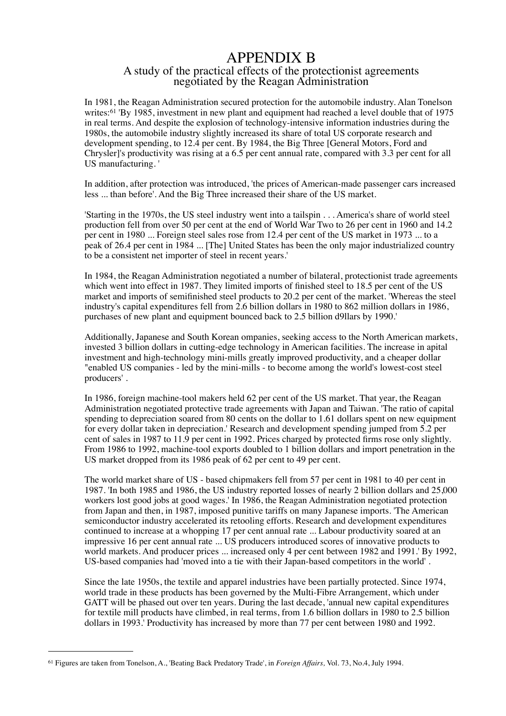# APPENDIX B A study of the practical effects of the protectionist agreements negotiated by the Reagan Administration

In 1981, the Reagan Administration secured protection for the automobile industry. Alan Tonelson writes:<sup>61</sup> 'By 1985, investment in new plant and equipment had reached a level double that of 1975 in real terms. And despite the explosion of technology-intensive information industries during the 1980s, the automobile industry slightly increased its share of total US corporate research and development spending, to 12.4 per cent. By 1984, the Big Three [General Motors, Ford and Chrysler]'s productivity was rising at a 6.5 per cent annual rate, compared with 3.3 per cent for all US manufacturing. '

In addition, after protection was introduced, 'the prices of American-made passenger cars increased less ... than before'. And the Big Three increased their share of the US market.

'Starting in the 1970s, the US steel industry went into a tailspin . . . America's share of world steel production fell from over 50 per cent at the end of World War Two to 26 per cent in 1960 and 14.2 per cent in 1980 ... Foreign steel sales rose from 12.4 per cent of the US market in 1973 ... to a peak of 26.4 per cent in 1984 ... [The] United States has been the only major industrialized country to be a consistent net importer of steel in recent years.'

In 1984, the Reagan Administration negotiated a number of bilateral, protectionist trade agreements which went into effect in 1987. They limited imports of finished steel to 18.5 per cent of the US market and imports of semifinished steel products to 20.2 per cent of the market. 'Whereas the steel industry's capital expenditures fell from 2.6 billion dollars in 1980 to 862 million dollars in 1986, purchases of new plant and equipment bounced back to 2.5 billion d9llars by 1990.'

Additionally, Japanese and South Korean ompanies, seeking access to the North American markets, invested 3 billion dollars in cutting-edge technology in American facilities. The increase in apital investment and high-technology mini-mills greatly improved productivity, and a cheaper dollar "enabled US companies - led by the mini-mills - to become among the world's lowest-cost steel producers' .

In 1986, foreign machine-tool makers held 62 per cent of the US market. That year, the Reagan Administration negotiated protective trade agreements with Japan and Taiwan. 'The ratio of capital spending to depreciation soared from 80 cents on the dollar to 1.61 dollars spent on new equipment for every dollar taken in depreciation.' Research and development spending jumped from 5.2 per cent of sales in 1987 to 11.9 per cent in 1992. Prices charged by protected firms rose only slightly. From 1986 to 1992, machine-tool exports doubled to 1 billion dollars and import penetration in the US market dropped from its 1986 peak of 62 per cent to 49 per cent.

The world market share of US - based chipmakers fell from 57 per cent in 1981 to 40 per cent in 1987. 'In both 1985 and 1986, the US industry reported losses of nearly 2 billion dollars and 25,000 workers lost good jobs at good wages.' In 1986, the Reagan Administration negotiated protection from Japan and then, in 1987, imposed punitive tariffs on many Japanese imports. 'The American semiconductor industry accelerated its retooling efforts. Research and development expenditures continued to increase at a whopping 17 per cent annual rate ... Labour productivity soared at an impressive 16 per cent annual rate ... US producers introduced scores of innovative products to world markets. And producer prices ... increased only 4 per cent between 1982 and 1991.' By 1992, US-based companies had 'moved into a tie with their Japan-based competitors in the world' .

Since the late 1950s, the textile and apparel industries have been partially protected. Since 1974, world trade in these products has been governed by the Multi-Fibre Arrangement, which under GATT will be phased out over ten years. During the last decade, 'annual new capital expenditures for textile mill products have climbed, in real terms, from 1.6 billion dollars in 1980 to 2.5 billion dollars in 1993.' Productivity has increased by more than 77 per cent between 1980 and 1992.

<span id="page-18-0"></span><sup>61</sup> Figures are taken from Tonelson, A., 'Beating Back Predatory Trade', in *Foreign Affairs,* Vol. 73, No.4, July 1994.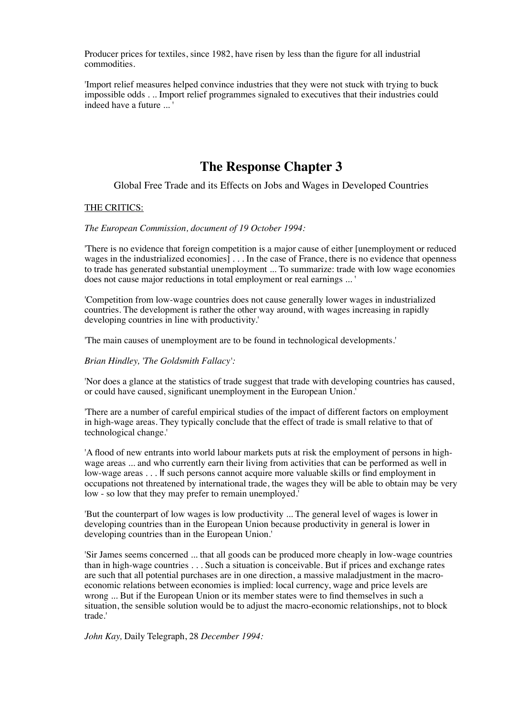Producer prices for textiles, since 1982, have risen by less than the figure for all industrial commodities.

'Import relief measures helped convince industries that they were not stuck with trying to buck impossible odds . .. Import relief programmes signaled to executives that their industries could indeed have a future ... '

# **The Response Chapter 3**

Global Free Trade and its Effects on Jobs and Wages in Developed Countries

### THE CRITICS:

*The European Commission, document of 19 October 1994:* 

'There is no evidence that foreign competition is a major cause of either [unemployment or reduced wages in the industrialized economies] . . . In the case of France, there is no evidence that openness to trade has generated substantial unemployment ... To summarize: trade with low wage economies does not cause major reductions in total employment or real earnings ... '

'Competition from low-wage countries does not cause generally lower wages in industrialized countries. The development is rather the other way around, with wages increasing in rapidly developing countries in line with productivity.'

'The main causes of unemployment are to be found in technological developments.'

*Brian Hindley, 'The Goldsmith Fallacy':* 

'Nor does a glance at the statistics of trade suggest that trade with developing countries has caused, or could have caused, significant unemployment in the European Union.'

'There are a number of careful empirical studies of the impact of different factors on employment in high-wage areas. They typically conclude that the effect of trade is small relative to that of technological change.'

'A flood of new entrants into world labour markets puts at risk the employment of persons in highwage areas ... and who currently earn their living from activities that can be performed as well in low-wage areas . . . If such persons cannot acquire more valuable skills or find employment in occupations not threatened by international trade, the wages they will be able to obtain may be very low - so low that they may prefer to remain unemployed.'

'But the counterpart of low wages is low productivity ... The general level of wages is lower in developing countries than in the European Union because productivity in general is lower in developing countries than in the European Union.'

'Sir James seems concerned ... that all goods can be produced more cheaply in low-wage countries than in high-wage countries . . . Such a situation is conceivable. But if prices and exchange rates are such that all potential purchases are in one direction, a massive maladjustment in the macroeconomic relations between economies is implied: local currency, wage and price levels are wrong ... But if the European Union or its member states were to find themselves in such a situation, the sensible solution would be to adjust the macro-economic relationships, not to block trade.'

*John Kay,* Daily Telegraph, 28 *December 1994:*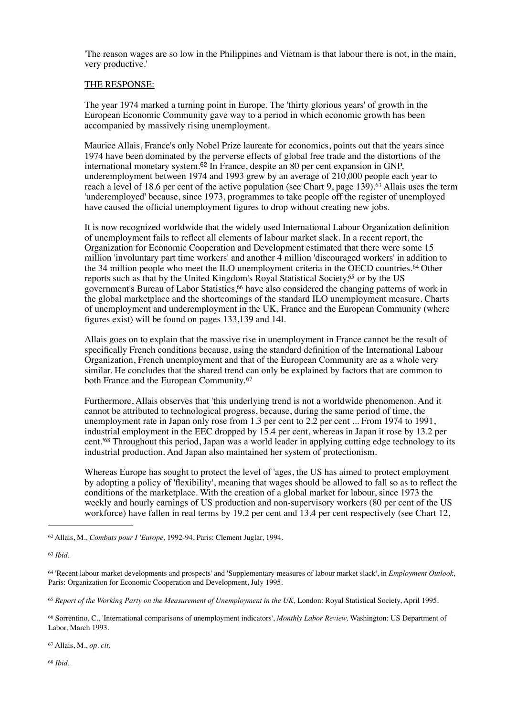'The reason wages are so low in the Philippines and Vietnam is that labour there is not, in the main, very productive.'

### THE RESPONSE:

The year 1974 marked a turning point in Europe. The 'thirty glorious years' of growth in the European Economic Community gave way to a period in which economic growth has been accompanied by massively rising unemployment.

Maurice Allais, France's only Nobel Prize laureate for economics, points out that the years since 1974 have been dominated by the perverse effects of global free trade and the distortions of the international monetary system.[62](#page-20-0) In France, despite an 80 per cent expansion in GNP, underemployment between 1974 and 1993 grew by an average of  $210,000$  people each year to reach a level of 18.6 per cent of the active population (see Chart 9, page 139).<sup>63</sup> Allais uses the term 'underemployed' because, since 1973, programmes to take people off the register of unemployed have caused the official unemployment figures to drop without creating new jobs.

It is now recognized worldwide that the widely used International Labour Organization definition of unemployment fails to reflect all elements of labour market slack. In a recent report, the Organization for Economic Cooperation and Development estimated that there were some 15 million 'involuntary part time workers' and another 4 million 'discouraged workers' in addition to the 34 million people who meet the ILO unemployment criteria in the OECD countries.[64](#page-20-2) Other reports such as that by the United Kingdom's Royal Statistical Society[,65](#page-20-3) or by the US government's Bureau of Labor Statistics[,66](#page-20-4) have also considered the changing patterns of work in the global marketplace and the shortcomings of the standard ILO unemployment measure. Charts of unemployment and underemployment in the UK, France and the European Community (where figures exist) will be found on pages 133,139 and 14l.

Allais goes on to explain that the massive rise in unemployment in France cannot be the result of specifically French conditions because, using the standard definition of the International Labour Organization, French unemployment and that of the European Community are as a whole very similar. He concludes that the shared trend can only be explained by factors that are common to both France and the European Community.[67](#page-20-5)

Furthermore, Allais observes that 'this underlying trend is not a worldwide phenomenon. And it cannot be attributed to technological progress, because, during the same period of time, the unemployment rate in Japan only rose from 1.3 per cent to 2.2 per cent ... From 1974 to 1991, industrial employment in the EEC dropped by 15.4 per cent, whereas in Japan it rose by 13.2 per cent.'[68](#page-20-6) Throughout this period, Japan was a world leader in applying cutting edge technology to its industrial production. And Japan also maintained her system of protectionism.

Whereas Europe has sought to protect the level of 'ages, the US has aimed to protect employment by adopting a policy of 'flexibility', meaning that wages should be allowed to fall so as to reflect the conditions of the marketplace. With the creation of a global market for labour, since 1973 the weekly and hourly earnings of US production and non-supervisory workers (80 per cent of the US workforce) have fallen in real terms by 19.2 per cent and 13.4 per cent respectively (see Chart 12,

<span id="page-20-5"></span><sup>67</sup> Allais, M., *op. cit.*

<span id="page-20-6"></span><sup>68</sup> *Ibid.*

<span id="page-20-0"></span><sup>62</sup> Allais, M., *Combats pour I 'Europe,* 1992-94, Paris: Clement Juglar, 1994.

<span id="page-20-1"></span><sup>63</sup> *Ibid.* 

<span id="page-20-2"></span><sup>64</sup> 'Recent labour market developments and prospects' and 'Supplementary measures of labour market slack', in *Employment Outlook,*  Paris: Organization for Economic Cooperation and Development, July 1995.

<span id="page-20-3"></span><sup>&</sup>lt;sup>65</sup> Report of the Working Party on the Measurement of Unemployment in the UK, London: Royal Statistical Society, April 1995.

<span id="page-20-4"></span><sup>66</sup> Sorrentino, C., 'International comparisons of unemployment indicators', *Monthly Labor Review,* Washington: US Department of Labor, March 1993.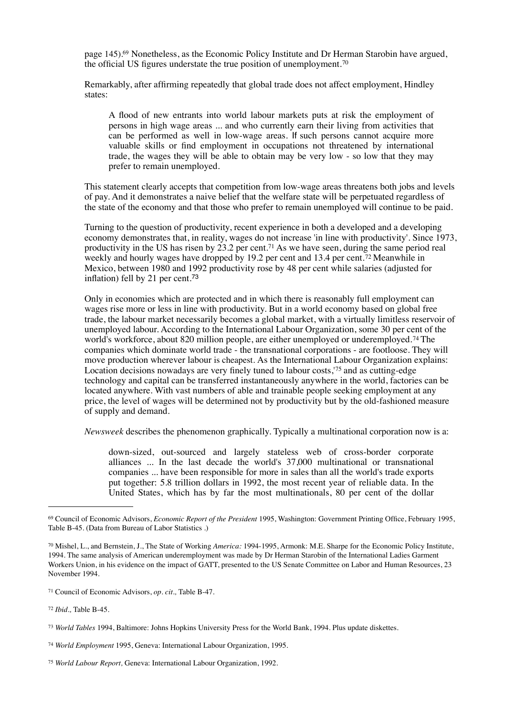page 145)[.69](#page-21-0) Nonetheless, as the Economic Policy Institute and Dr Herman Starobin have argued, the official US figures understate the true position of unemployment.[70](#page-21-1)

Remarkably, after affirming repeatedly that global trade does not affect employment, Hindley states:

A flood of new entrants into world labour markets puts at risk the employment of persons in high wage areas ... and who currently earn their living from activities that can be performed as well in low-wage areas. If such persons cannot acquire more valuable skills or find employment in occupations not threatened by international trade, the wages they will be able to obtain may be very low - so low that they may prefer to remain unemployed.

This statement clearly accepts that competition from low-wage areas threatens both jobs and levels of pay. And it demonstrates a naive belief that the welfare state will be perpetuated regardless of the state of the economy and that those who prefer to remain unemployed will continue to be paid.

Turning to the question of productivity, recent experience in both a developed and a developing economy demonstrates that, in reality, wages do not increase 'in line with productivity'. Since 1973, productivity in the US has risen by 23.2 per cent[.71](#page-21-2) As we have seen, during the same period real weekly and hourly wages have dropped by 19.2 per cent and 13.4 per cent.<sup>[72](#page-21-3)</sup> Meanwhile in Mexico, between 1980 and 1992 productivity rose by 48 per cent while salaries (adjusted for inflation) fell by 21 per cent.[73](#page-21-4)

Only in economies which are protected and in which there is reasonably full employment can wages rise more or less in line with productivity. But in a world economy based on global free trade, the labour market necessarily becomes a global market, with a virtually limitless reservoir of unemployed labour. According to the International Labour Organization, some 30 per cent of the world's workforce, about 820 million people, are either unemployed or underemployed.[74](#page-21-5) The companies which dominate world trade - the transnational corporations - are footloose. They will move production wherever labour is cheapest. As the International Labour Organization explains: Location decisions nowadays are very finely tuned to labour costs,'[75](#page-21-6) and as cutting-edge technology and capital can be transferred instantaneously anywhere in the world, factories can be located anywhere. With vast numbers of able and trainable people seeking employment at any price, the level of wages will be determined not by productivity but by the old-fashioned measure of supply and demand.

*Newsweek* describes the phenomenon graphically. Typically a multinational corporation now is a:

down-sized, out-sourced and largely stateless web of cross-border corporate alliances ... In the last decade the world's 37,000 multinational or transnational companies ... have been responsible for more in sales than all the world's trade exports put together: 5.8 trillion dollars in 1992, the most recent year of reliable data. In the United States, which has by far the most multinationals, 80 per cent of the dollar

<span id="page-21-0"></span><sup>69</sup> Council of Economic Advisors, *Economic Report of the President* 1995, Washington: Government Printing Office, February 1995, Table B-45. (Data from Bureau of Labor Statistics .)

<span id="page-21-1"></span><sup>70</sup> Mishel, L., and Bernstein, J., The State of Working *America:* 1994-1995, Armonk: M.E. Sharpe for the Economic Policy Institute, 1994. The same analysis of American underemployment was made by Dr Herman Starobin of the International Ladies Garment Workers Union, in his evidence on the impact of GATT, presented to the US Senate Committee on Labor and Human Resources, 23 November 1994.

<span id="page-21-2"></span><sup>71</sup> Council of Economic Advisors, *op. cit.,* Table B-47.

<span id="page-21-3"></span><sup>72</sup> *Ibid.,* Table B-45.

<span id="page-21-4"></span><sup>73</sup> *World Tables* 1994, Baltimore: Johns Hopkins University Press for the World Bank, 1994. Plus update diskettes.

<span id="page-21-5"></span><sup>74</sup> *World Employment* 1995, Geneva: International Labour Organization, 1995.

<span id="page-21-6"></span><sup>75</sup> *World Labour Report,* Geneva: International Labour Organization, 1992.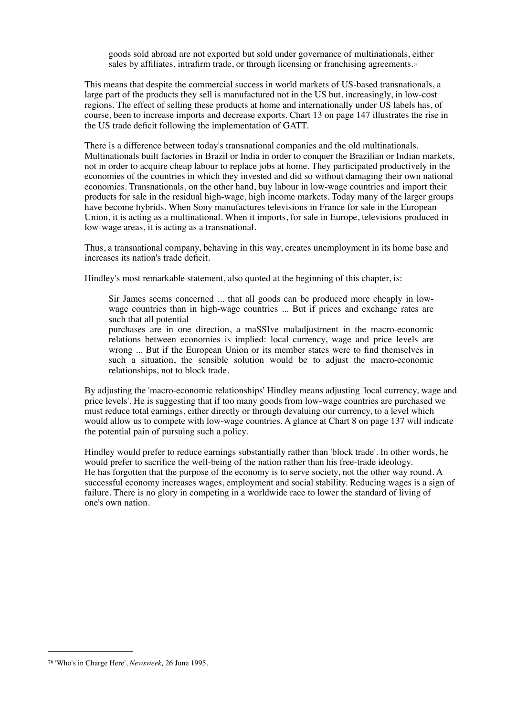goods sold abroad are not exported but sold under governance of multinationals, either sales by affiliates, intrafirm trade, or through licensing or franchising agreements.<sup>56</sup>

This means that despite the commercial success in world markets of US-based transnationals, a large part of the products they sell is manufactured not in the US but, increasingly, in low-cost regions. The effect of selling these products at home and internationally under US labels has, of course, been to increase imports and decrease exports. Chart 13 on page 147 illustrates the rise in the US trade deficit following the implementation of GATT.

There is a difference between today's transnational companies and the old multinationals. Multinationals built factories in Brazil or India in order to conquer the Brazilian or Indian markets, not in order to acquire cheap labour to replace jobs at home. They participated productively in the economies of the countries in which they invested and did so without damaging their own national economies. Transnationals, on the other hand, buy labour in low-wage countries and import their products for sale in the residual high-wage, high income markets. Today many of the larger groups have become hybrids. When Sony manufactures televisions in France for sale in the European Union, it is acting as a multinational. When it imports, for sale in Europe, televisions produced in low-wage areas, it is acting as a transnational.

Thus, a transnational company, behaving in this way, creates unemployment in its home base and increases its nation's trade deficit.

Hindley's most remarkable statement, also quoted at the beginning of this chapter, is:

Sir James seems concerned ... that all goods can be produced more cheaply in lowwage countries than in high-wage countries ... But if prices and exchange rates are such that all potential

purchases are in one direction, a maSSIve maladjustment in the macro-economic relations between economies is implied: local currency, wage and price levels are wrong ... But if the European Union or its member states were to find themselves in such a situation, the sensible solution would be to adjust the macro-economic relationships, not to block trade.

By adjusting the 'macro-economic relationships' Hindley means adjusting 'local currency, wage and price levels'. He is suggesting that if too many goods from low-wage countries are purchased we must reduce total earnings, either directly or through devaluing our currency, to a level which would allow us to compete with low-wage countries. A glance at Chart 8 on page 137 will indicate the potential pain of pursuing such a policy.

Hindley would prefer to reduce earnings substantially rather than 'block trade'. In other words, he would prefer to sacrifice the well-being of the nation rather than his free-trade ideology. He has forgotten that the purpose of the economy is to serve society, not the other way round. A successful economy increases wages, employment and social stability. Reducing wages is a sign of failure. There is no glory in competing in a worldwide race to lower the standard of living of one's own nation.

<span id="page-22-0"></span><sup>76</sup> 'Who's in Charge Here', *Newsweek,* 26 June 1995.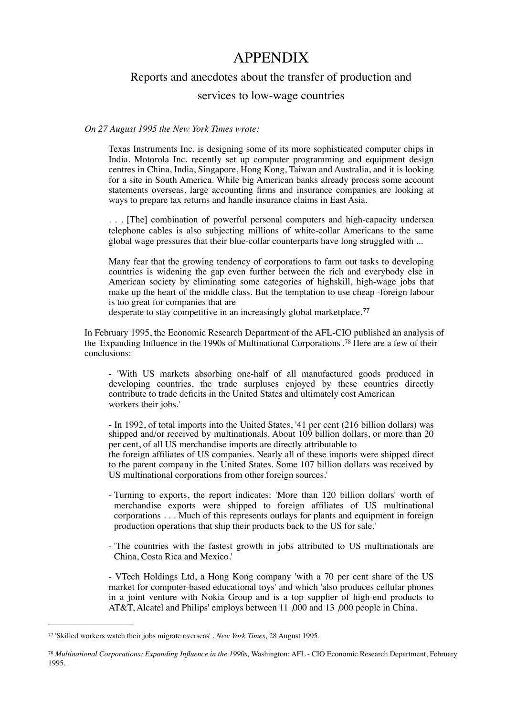# APPENDIX

## Reports and anecdotes about the transfer of production and

## services to low-wage countries

### *On 27 August 1995 the New York Times wrote:*

Texas Instruments Inc. is designing some of its more sophisticated computer chips in India. Motorola Inc. recently set up computer programming and equipment design centres in China, India, Singapore, Hong Kong, Taiwan and Australia, and it is looking for a site in South America. While big American banks already process some account statements overseas, large accounting firms and insurance companies are looking at ways to prepare tax returns and handle insurance claims in East Asia.

. . . [The] combination of powerful personal computers and high-capacity undersea telephone cables is also subjecting millions of white-collar Americans to the same global wage pressures that their blue-collar counterparts have long struggled with ...

Many fear that the growing tendency of corporations to farm out tasks to developing countries is widening the gap even further between the rich and everybody else in American society by eliminating some categories of highskill, high-wage jobs that make up the heart of the middle class. But the temptation to use cheap -foreign labour is too great for companies that are

desperate to stay competitive in an increasingly global marketplace.<sup>[77](#page-23-0)</sup>

In February 1995, the Economic Research Department of the AFL-CIO published an analysis of the 'Expanding Influence in the 1990s of Multinational Corporations'.[78](#page-23-1) Here are a few of their conclusions:

- 'With US markets absorbing one-half of all manufactured goods produced in developing countries, the trade surpluses enjoyed by these countries directly contribute to trade deficits in the United States and ultimately cost American workers their jobs.'

- In 1992, of total imports into the United States, '41 per cent (216 billion dollars) was shipped and/or received by multinationals. About 109 billion dollars, or more than 20 per cent, of all US merchandise imports are directly attributable to

the foreign affiliates of US companies. Nearly all of these imports were shipped direct to the parent company in the United States. Some 107 billion dollars was received by US multinational corporations from other foreign sources.'

- Turning to exports, the report indicates: 'More than 120 billion dollars' worth of merchandise exports were shipped to foreign affiliates of US multinational corporations . . . Much of this represents outlays for plants and equipment in foreign production operations that ship their products back to the US for sale.'
- 'The countries with the fastest growth in jobs attributed to US multinationals are China, Costa Rica and Mexico.'

- VTech Holdings Ltd, a Hong Kong company 'with a 70 per cent share of the US market for computer-based educational toys' and which 'also produces cellular phones in a joint venture with Nokia Group and is a top supplier of high-end products to AT&T, Alcatel and Philips' employs between 11 ,000 and 13 ,000 people in China.

<span id="page-23-0"></span><sup>77</sup> 'Skilled workers watch their jobs migrate overseas' , *New York Times,* 28 August 1995.

<span id="page-23-1"></span><sup>78</sup> *Multinational Corporations: Expanding Influence in the 1990s,* Washington: AFL - CIO Economic Research Department, February 1995.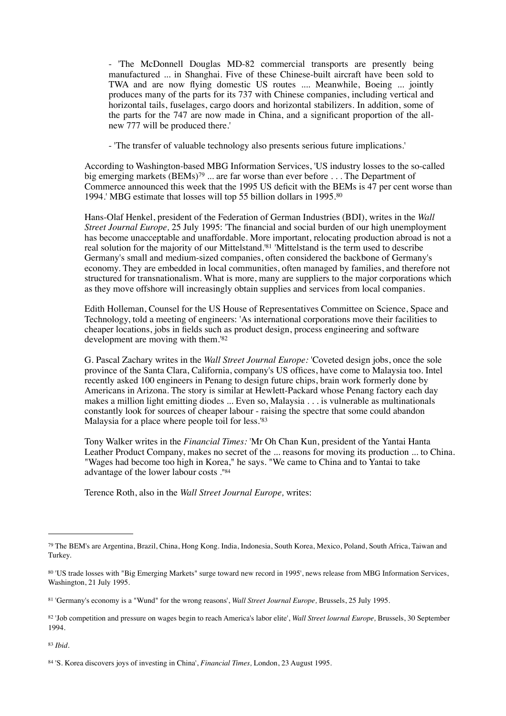- 'The McDonnell Douglas MD-82 commercial transports are presently being manufactured ... in Shanghai. Five of these Chinese-built aircraft have been sold to TWA and are now flying domestic US routes .... Meanwhile, Boeing ... jointly produces many of the parts for its 737 with Chinese companies, including vertical and horizontal tails, fuselages, cargo doors and horizontal stabilizers. In addition, some of the parts for the 747 are now made in China, and a significant proportion of the allnew 777 will be produced there.'

- 'The transfer of valuable technology also presents serious future implications.'

According to Washington-based MBG Information Services, 'US industry losses to the so-called big emerging markets  $(BEMs)^{79}$  ... are far worse than ever before ... The Department of Commerce announced this week that the 1995 US deficit with the BEMs is 47 per cent worse than 1994.' MBG estimate that losses will top 55 billion dollars in 1995[.80](#page-24-1)

Hans-Olaf Henkel, president of the Federation of German Industries (BDI), writes in the *Wall Street Journal Europe,* 25 July 1995: 'The financial and social burden of our high unemployment has become unacceptable and unaffordable. More important, relocating production abroad is not a real solution for the majority of our Mittelstand.['81](#page-24-2) 'Mittelstand is the term used to describe Germany's small and medium-sized companies, often considered the backbone of Germany's economy. They are embedded in local communities, often managed by families, and therefore not structured for transnationalism. What is more, many are suppliers to the major corporations which as they move offshore will increasingly obtain supplies and services from local companies.

Edith Holleman, Counsel for the US House of Representatives Committee on Science, Space and Technology, told a meeting of engineers: 'As international corporations move their facilities to cheaper locations, jobs in fields such as product design, process engineering and software development are moving with them.'[82](#page-24-3)

G. Pascal Zachary writes in the *Wall Street Journal Europe:* 'Coveted design jobs, once the sole province of the Santa Clara, California, company's US offices, have come to Malaysia too. Intel recently asked 100 engineers in Penang to design future chips, brain work formerly done by Americans in Arizona. The story is similar at Hewlett-Packard whose Penang factory each day makes a million light emitting diodes ... Even so, Malaysia . . . is vulnerable as multinationals constantly look for sources of cheaper labour - raising the spectre that some could abandon Malaysia for a place where people toil for less.'[83](#page-24-4)

Tony Walker writes in the *Financial Times:* 'Mr Oh Chan Kun, president of the Yantai Hanta Leather Product Company, makes no secret of the ... reasons for moving its production ... to China. "Wages had become too high in Korea," he says. "We came to China and to Yantai to take advantage of the lower labour costs .["84](#page-24-5)

Terence Roth, also in the *Wall Street Journal Europe,* writes:

<span id="page-24-4"></span><sup>83</sup> *Ibid.*

<span id="page-24-0"></span><sup>79</sup> The BEM's are Argentina, Brazil, China, Hong Kong. India, Indonesia, South Korea, Mexico, Poland, South Africa, Taiwan and Turkey.

<span id="page-24-1"></span><sup>80</sup> 'US trade losses with "Big Emerging Markets" surge toward new record in 1995', news release from MBG Information Services, Washington, 21 July 1995.

<span id="page-24-2"></span><sup>81</sup> 'Germany's economy is a "Wund" for the wrong reasons', *Wall Street Journal Europe,* Brussels, 25 July 1995.

<span id="page-24-3"></span><sup>82</sup> 'Job competition and pressure on wages begin to reach America's labor elite', *Wall Street lournal Europe,* Brussels, 30 September 1994.

<span id="page-24-5"></span><sup>84</sup> 'S. Korea discovers joys of investing in China', *Financial Times,* London, 23 August 1995.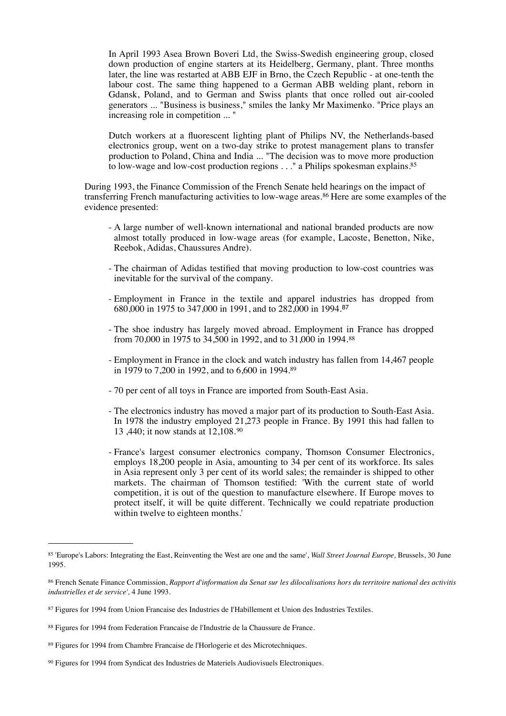In April 1993 Asea Brown Boveri Ltd, the Swiss-Swedish engineering group, closed down production of engine starters at its Heidelberg, Germany, plant. Three months later, the line was restarted at ABB EJF in Brno, the Czech Republic - at one-tenth the labour cost. The same thing happened to a German ABB welding plant, reborn in Gdansk, Poland, and to German and Swiss plants that once rolled out air-cooled generators ... "Business is business," smiles the lanky Mr Maximenko. "Price plays an increasing role in competition ... "

Dutch workers at a fluorescent lighting plant of Philips NV, the Netherlands-based electronics group, went on a two-day strike to protest management plans to transfer production to Poland, China and India ... "The decision was to move more production to low-wage and low-cost production regions  $\dots$ " a Philips spokesman explains.<sup>[85](#page-25-0)</sup>

During 1993, the Finance Commission of the French Senate held hearings on the impact of transferring French manufacturing activities to low-wage areas.[86](#page-25-1) Here are some examples of the evidence presented:

- A large number of well-known international and national branded products are now almost totally produced in low-wage areas (for example, Lacoste, Benetton, Nike, Reebok, Adidas, Chaussures Andre).
- The chairman of Adidas testified that moving production to low-cost countries was inevitable for the survival of the company.
- Employment in France in the textile and apparel industries has dropped from 680,000 in 1975 to 347,000 in 1991, and to 282,000 in 1994.[87](#page-25-2)
- The shoe industry has largely moved abroad. Employment in France has dropped from 70,000 in 1975 to 34,500 in 1992, and to 31,000 in 1994.[88](#page-25-3)
- Employment in France in the clock and watch industry has fallen from 14,467 people in 1979 to 7,200 in 1992, and to 6,600 in 1994[.89](#page-25-4)
- 70 per cent of all toys in France are imported from South-East Asia.
- The electronics industry has moved a major part of its production to South-East Asia. In 1978 the industry employed 21,273 people in France. By 1991 this had fallen to 13 ,440; it now stands at 12,108.[90](#page-25-5)
- France's largest consumer electronics company, Thomson Consumer Electronics, employs 18,200 people in Asia, amounting to 34 per cent of its workforce. Its sales in Asia represent only 3 per cent of its world sales; the remainder is shipped to other markets. The chairman of Thomson testified: 'With the current state of world competition, it is out of the question to manufacture elsewhere. If Europe moves to protect itself, it will be quite different. Technically we could repatriate production within twelve to eighteen months.'

<span id="page-25-0"></span><sup>85</sup> 'Europe's Labors: Integrating the East, Reinventing the West are one and the same', *Wall Street Journal Europe,* Brussels, 30 June 1995.

<span id="page-25-1"></span><sup>86</sup> French Senate Finance Commission, *Rapport d'information du Senat sur les dilocalisations hors du territoire national des activitis industrielles et de service',* 4 June 1993.

<span id="page-25-2"></span><sup>87</sup> Figures for 1994 from Union Francaise des Industries de I'Habillement et Union des Industries Textiles.

<span id="page-25-3"></span><sup>88</sup> Figures for 1994 from Federation Francaise de l'Industrie de la Chaussure de France.

<span id="page-25-4"></span><sup>89</sup> Figures for 1994 from Chambre Francaise de l'Horlogerie et des Microtechniques.

<span id="page-25-5"></span><sup>90</sup> Figures for 1994 from Syndicat des Industries de Materiels Audiovisuels Electroniques.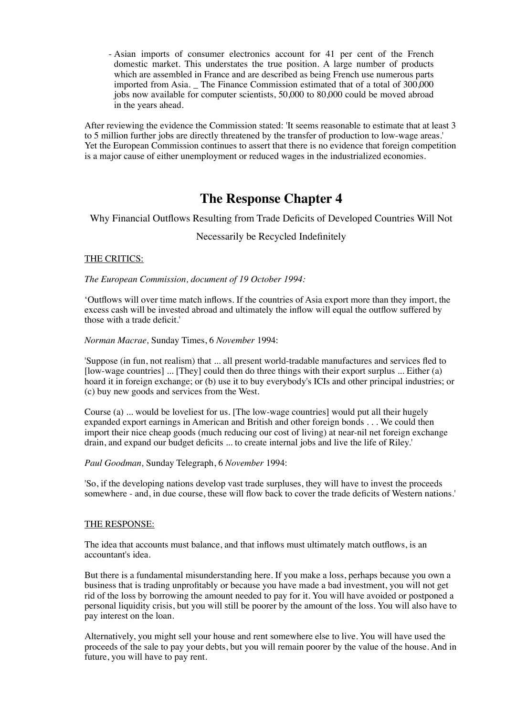- Asian imports of consumer electronics account for 41 per cent of the French domestic market. This understates the true position. A large number of products which are assembled in France and are described as being French use numerous parts imported from Asia. \_ The Finance Commission estimated that of a total of 300,000 jobs now available for computer scientists, 50,000 to 80,000 could be moved abroad in the years ahead.

After reviewing the evidence the Commission stated: 'It seems reasonable to estimate that at least 3 to 5 million further jobs are directly threatened by the transfer of production to low-wage areas.' Yet the European Commission continues to assert that there is no evidence that foreign competition is a major cause of either unemployment or reduced wages in the industrialized economies.

# **The Response Chapter 4**

Why Financial Outflows Resulting from Trade Deficits of Developed Countries Will Not

Necessarily be Recycled Indefinitely

## THE CRITICS:

*The European Commission, document of 19 October 1994:* 

'Outflows will over time match inflows. If the countries of Asia export more than they import, the excess cash will be invested abroad and ultimately the inflow will equal the outflow suffered by those with a trade deficit.'

*Norman Macrae,* Sunday Times, 6 *November* 1994:

'Suppose (in fun, not realism) that ... all present world-tradable manufactures and services fled to [low-wage countries] ... [They] could then do three things with their export surplus ... Either (a) hoard it in foreign exchange; or (b) use it to buy everybody's ICIs and other principal industries; or (c) buy new goods and services from the West.

Course (a) ... would be loveliest for us. [The low-wage countries] would put all their hugely expanded export earnings in American and British and other foreign bonds . . . We could then import their nice cheap goods (much reducing our cost of living) at near-nil net foreign exchange drain, and expand our budget deficits ... to create internal jobs and live the life of Riley.'

*Paul Goodman,* Sunday Telegraph, 6 *November* 1994:

'So, if the developing nations develop vast trade surpluses, they will have to invest the proceeds somewhere - and, in due course, these will flow back to cover the trade deficits of Western nations.'

## THE RESPONSE:

The idea that accounts must balance, and that inflows must ultimately match outflows, is an accountant's idea.

But there is a fundamental misunderstanding here. If you make a loss, perhaps because you own a business that is trading unprofitably or because you have made a bad investment, you will not get rid of the loss by borrowing the amount needed to pay for it. You will have avoided or postponed a personal liquidity crisis, but you will still be poorer by the amount of the loss. You will also have to pay interest on the loan.

Alternatively, you might sell your house and rent somewhere else to live. You will have used the proceeds of the sale to pay your debts, but you will remain poorer by the value of the house. And in future, you will have to pay rent.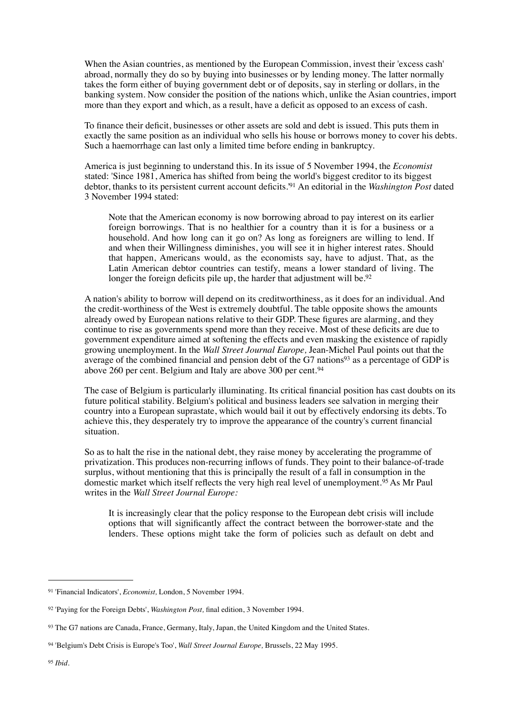When the Asian countries, as mentioned by the European Commission, invest their 'excess cash' abroad, normally they do so by buying into businesses or by lending money. The latter normally takes the form either of buying government debt or of deposits, say in sterling or dollars, in the banking system. Now consider the position of the nations which, unlike the Asian countries, import more than they export and which, as a result, have a deficit as opposed to an excess of cash.

To finance their deficit, businesses or other assets are sold and debt is issued. This puts them in exactly the same position as an individual who sells his house or borrows money to cover his debts. Such a haemorrhage can last only a limited time before ending in bankruptcy.

America is just beginning to understand this. In its issue of 5 November 1994, the *Economist*  stated: 'Since 1981, America has shifted from being the world's biggest creditor to its biggest debtor, thanks to its persistent current account deficits.['91](#page-27-0) An editorial in the *Washington Post* dated 3 November 1994 stated:

Note that the American economy is now borrowing abroad to pay interest on its earlier foreign borrowings. That is no healthier for a country than it is for a business or a household. And how long can it go on? As long as foreigners are willing to lend. If and when their Willingness diminishes, you will see it in higher interest rates. Should that happen, Americans would, as the economists say, have to adjust. That, as the Latin American debtor countries can testify, means a lower standard of living. The longer the foreign deficits pile up, the harder that adjustment will be.<sup>[92](#page-27-1)</sup>

A nation's ability to borrow will depend on its creditworthiness, as it does for an individual. And the credit-worthiness of the West is extremely doubtful. The table opposite shows the amounts already owed by European nations relative to their GDP. These figures are alarming, and they continue to rise as governments spend more than they receive. Most of these deficits are due to government expenditure aimed at softening the effects and even masking the existence of rapidly growing unemployment. In the *Wall Street Journal Europe,* Jean-Michel Paul points out that the average of the combined financial and pension debt of the  $G7$  nations<sup>93</sup> as a percentage of  $GDP$  is above 260 per cent. Belgium and Italy are above 300 per cent.[94](#page-27-3)

The case of Belgium is particularly illuminating. Its critical financial position has cast doubts on its future political stability. Belgium's political and business leaders see salvation in merging their country into a European suprastate, which would bail it out by effectively endorsing its debts. To achieve this, they desperately try to improve the appearance of the country's current financial situation.

So as to halt the rise in the national debt, they raise money by accelerating the programme of privatization. This produces non-recurring inflows of funds. They point to their balance-of-trade surplus, without mentioning that this is principally the result of a fall in consumption in the domestic market which itself reflects the very high real level of unemployment.<sup>[95](#page-27-4)</sup> As Mr Paul writes in the *Wall Street Journal Europe:* 

It is increasingly clear that the policy response to the European debt crisis will include options that will significantly affect the contract between the borrower-state and the lenders. These options might take the form of policies such as default on debt and

<span id="page-27-0"></span><sup>91</sup> 'Financial Indicators', *Economist,* London, 5 November 1994.

<span id="page-27-1"></span><sup>92</sup> 'Paying for the Foreign Debts', *Washington Post,* final edition, 3 November 1994.

<span id="page-27-2"></span><sup>93</sup> The G7 nations are Canada, France, Germany, Italy, Japan, the United Kingdom and the United States.

<span id="page-27-4"></span><span id="page-27-3"></span><sup>94</sup> 'Belgium's Debt Crisis is Europe's Too', *Wall Street Journal Europe,* Brussels, 22 May 1995.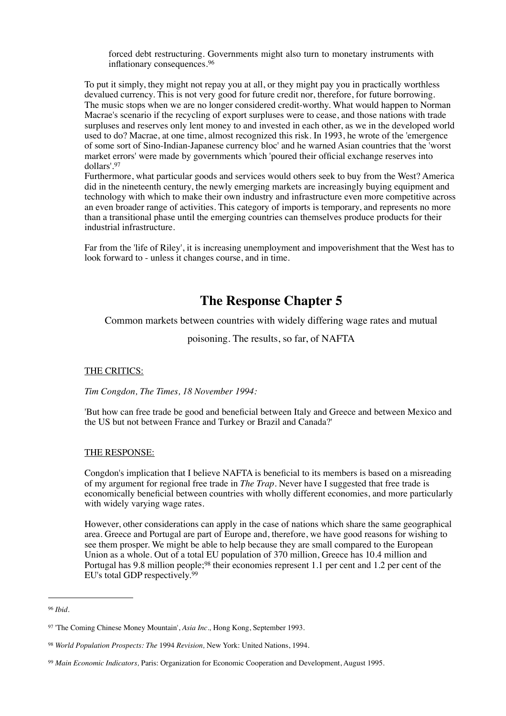forced debt restructuring. Governments might also turn to monetary instruments with inflationary consequences.<sup>[96](#page-28-0)</sup>

To put it simply, they might not repay you at all, or they might pay you in practically worthless devalued currency. This is not very good for future credit nor, therefore, for future borrowing. The music stops when we are no longer considered credit-worthy. What would happen to Norman Macrae's scenario if the recycling of export surpluses were to cease, and those nations with trade surpluses and reserves only lent money to and invested in each other, as we in the developed world used to do? Macrae, at one time, almost recognized this risk. In 1993, he wrote of the 'emergence of some sort of Sino-Indian-Japanese currency bloc' and he warned Asian countries that the 'worst market errors' were made by governments which 'poured their official exchange reserves into dollars'[.97](#page-28-1)

Furthermore, what particular goods and services would others seek to buy from the West? America did in the nineteenth century, the newly emerging markets are increasingly buying equipment and technology with which to make their own industry and infrastructure even more competitive across an even broader range of activities. This category of imports is temporary, and represents no more than a transitional phase until the emerging countries can themselves produce products for their industrial infrastructure.

Far from the 'life of Riley', it is increasing unemployment and impoverishment that the West has to look forward to - unless it changes course, and in time.

# **The Response Chapter 5**

Common markets between countries with widely differing wage rates and mutual

poisoning. The results, so far, of NAFTA

## THE CRITICS:

*Tim Congdon, The Times, 18 November 1994:* 

'But how can free trade be good and beneficial between Italy and Greece and between Mexico and the US but not between France and Turkey or Brazil and Canada?'

### THE RESPONSE:

Congdon's implication that I believe NAFTA is beneficial to its members is based on a misreading of my argument for regional free trade in *The Trap.* Never have I suggested that free trade is economically beneficial between countries with wholly different economies, and more particularly with widely varying wage rates.

However, other considerations can apply in the case of nations which share the same geographical area. Greece and Portugal are part of Europe and, therefore, we have good reasons for wishing to see them prosper. We might be able to help because they are small compared to the European Union as a whole. Out of a total EU population of 370 million, Greece has 10.4 million and Portugal has 9.8 million people;<sup>98</sup> their economies represent 1.1 per cent and 1.2 per cent of the EU's total GDP respectively.[99](#page-28-3)

<span id="page-28-0"></span><sup>96</sup> *Ibid.* 

<span id="page-28-1"></span><sup>97</sup> 'The Coming Chinese Money Mountain', *Asia Inc.,* Hong Kong, September 1993.

<span id="page-28-2"></span><sup>98</sup> *World Population Prospects: The* 1994 *Revision,* New York: United Nations, 1994.

<span id="page-28-3"></span><sup>99</sup> *Main Economic Indicators,* Paris: Organization for Economic Cooperation and Development, August 1995.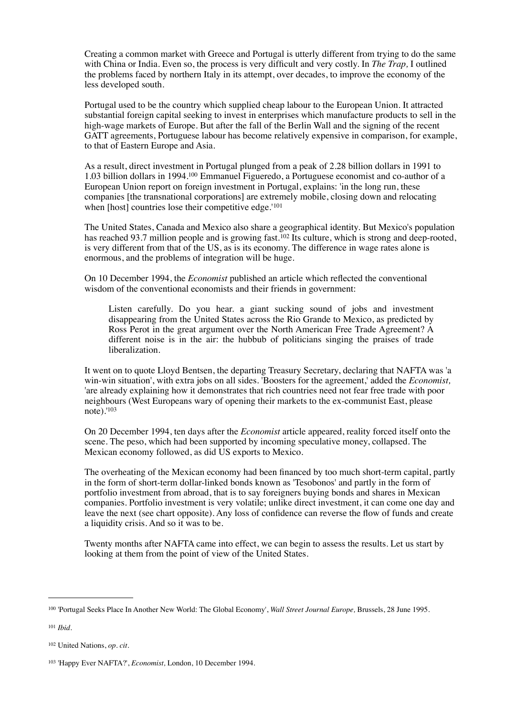Creating a common market with Greece and Portugal is utterly different from trying to do the same with China or India. Even so, the process is very difficult and very costly. In *The Trap,* I outlined the problems faced by northern Italy in its attempt, over decades, to improve the economy of the less developed south.

Portugal used to be the country which supplied cheap labour to the European Union. It attracted substantial foreign capital seeking to invest in enterprises which manufacture products to sell in the high-wage markets of Europe. But after the fall of the Berlin Wall and the signing of the recent GATT agreements, Portuguese labour has become relatively expensive in comparison, for example, to that of Eastern Europe and Asia.

As a result, direct investment in Portugal plunged from a peak of 2.28 billion dollars in 1991 to 1.03 billion dollars in 1994[.100](#page-29-0) Emmanuel Figueredo, a Portuguese economist and co-author of a European Union report on foreign investment in Portugal, explains: 'in the long run, these companies [the transnational corporations] are extremely mobile, closing down and relocating when [host] countries lose their competitive edge.'[101](#page-29-1)

The United States, Canada and Mexico also share a geographical identity. But Mexico's population has reached 93.7 million people and is growing fast.<sup>102</sup> Its culture, which is strong and deep-rooted, is very different from that of the US, as is its economy. The difference in wage rates alone is enormous, and the problems of integration will be huge.

On 10 December 1994, the *Economist* published an article which reflected the conventional wisdom of the conventional economists and their friends in government:

Listen carefully. Do you hear. a giant sucking sound of jobs and investment disappearing from the United States across the Rio Grande to Mexico, as predicted by Ross Perot in the great argument over the North American Free Trade Agreement? A different noise is in the air: the hubbub of politicians singing the praises of trade liberalization.

It went on to quote Lloyd Bentsen, the departing Treasury Secretary, declaring that NAFTA was 'a win-win situation', with extra jobs on all sides. 'Boosters for the agreement,' added the *Economist,*  'are already explaining how it demonstrates that rich countries need not fear free trade with poor neighbours (West Europeans wary of opening their markets to the ex-communist East, please note).['103](#page-29-3)

On 20 December 1994, ten days after the *Economist* article appeared, reality forced itself onto the scene. The peso, which had been supported by incoming speculative money, collapsed. The Mexican economy followed, as did US exports to Mexico.

The overheating of the Mexican economy had been financed by too much short-term capital, partly in the form of short-term dollar-linked bonds known as 'Tesobonos' and partly in the form of portfolio investment from abroad, that is to say foreigners buying bonds and shares in Mexican companies. Portfolio investment is very volatile; unlike direct investment, it can come one day and leave the next (see chart opposite). Any loss of confidence can reverse the flow of funds and create a liquidity crisis. And so it was to be.

Twenty months after NAFTA came into effect, we can begin to assess the results. Let us start by looking at them from the point of view of the United States.

<span id="page-29-0"></span><sup>100</sup> 'Portugal Seeks Place In Another New World: The Global Economy', *Wall Street Journal Europe,* Brussels, 28 June 1995.

<span id="page-29-1"></span><sup>101</sup> *Ibid.* 

<span id="page-29-2"></span><sup>102</sup> United Nations, *op. cit.*

<span id="page-29-3"></span><sup>103</sup> 'Happy Ever NAFTA?', *Economist,* London, 10 December 1994.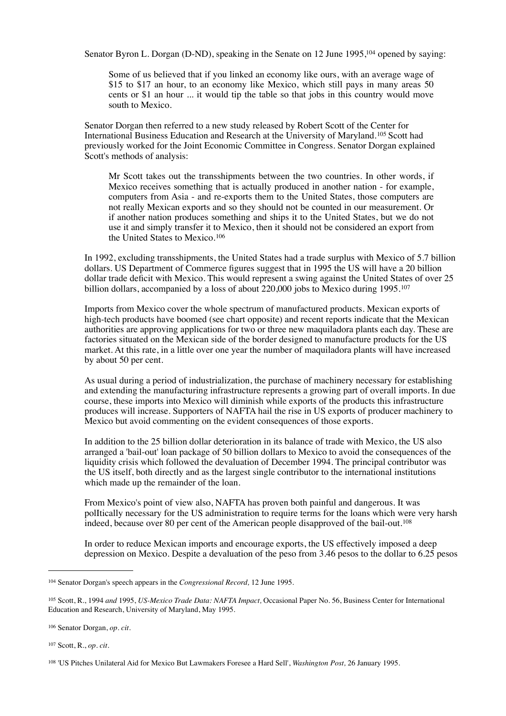Senator Byron L. Dorgan (D-ND), speaking in the Senate on 12 June 1995,<sup>104</sup> opened by saying:

Some of us believed that if you linked an economy like ours, with an average wage of \$15 to \$17 an hour, to an economy like Mexico, which still pays in many areas 50 cents or \$1 an hour ... it would tip the table so that jobs in this country would move south to Mexico.

Senator Dorgan then referred to a new study released by Robert Scott of the Center for International Business Education and Research at the University of Maryland.[105](#page-30-1) Scott had previously worked for the Joint Economic Committee in Congress. Senator Dorgan explained Scott's methods of analysis:

Mr Scott takes out the transshipments between the two countries. In other words, if Mexico receives something that is actually produced in another nation - for example, computers from Asia - and re-exports them to the United States, those computers are not really Mexican exports and so they should not be counted in our measurement. Or if another nation produces something and ships it to the United States, but we do not use it and simply transfer it to Mexico, then it should not be considered an export from the United States to Mexico.[106](#page-30-2)

In 1992, excluding transshipments, the United States had a trade surplus with Mexico of 5.7 billion dollars. US Department of Commerce figures suggest that in 1995 the US will have a 20 billion dollar trade deficit with Mexico. This would represent a swing against the United States of over 25 billion dollars, accompanied by a loss of about 220,000 jobs to Mexico during 1995.[107](#page-30-3)

Imports from Mexico cover the whole spectrum of manufactured products. Mexican exports of high-tech products have boomed (see chart opposite) and recent reports indicate that the Mexican authorities are approving applications for two or three new maquiladora plants each day. These are factories situated on the Mexican side of the border designed to manufacture products for the US market. At this rate, in a little over one year the number of maquiladora plants will have increased by about 50 per cent.

As usual during a period of industrialization, the purchase of machinery necessary for establishing and extending the manufacturing infrastructure represents a growing part of overall imports. In due course, these imports into Mexico will diminish while exports of the products this infrastructure produces will increase. Supporters of NAFTA hail the rise in US exports of producer machinery to Mexico but avoid commenting on the evident consequences of those exports.

In addition to the 25 billion dollar deterioration in its balance of trade with Mexico, the US also arranged a 'bail-out' loan package of 50 billion dollars to Mexico to avoid the consequences of the liquidity crisis which followed the devaluation of December 1994. The principal contributor was the US itself, both directly and as the largest single contributor to the international institutions which made up the remainder of the loan.

From Mexico's point of view also, NAFTA has proven both painful and dangerous. It was polItically necessary for the US administration to require terms for the loans which were very harsh indeed, because over 80 per cent of the American people disapproved of the bail-out[.108](#page-30-4)

In order to reduce Mexican imports and encourage exports, the US effectively imposed a deep depression on Mexico. Despite a devaluation of the peso from 3.46 pesos to the dollar to 6.25 pesos

<span id="page-30-3"></span><sup>107</sup> Scott, R., *op. cit.*

<span id="page-30-0"></span><sup>104</sup> Senator Dorgan's speech appears in the *Congressional Record,* 12 June 1995.

<span id="page-30-1"></span><sup>105</sup> Scott, R., 1994 *and* 1995, *US-Mexico Trade Data: NAFTA Impact,* Occasional Paper No. 56, Business Center for International Education and Research, University of Maryland, May 1995.

<span id="page-30-2"></span><sup>106</sup> Senator Dorgan, *op. cit.*

<span id="page-30-4"></span><sup>108</sup> 'US Pitches Unilateral Aid for Mexico But Lawmakers Foresee a Hard Sell', *Washington Post,* 26 January 1995.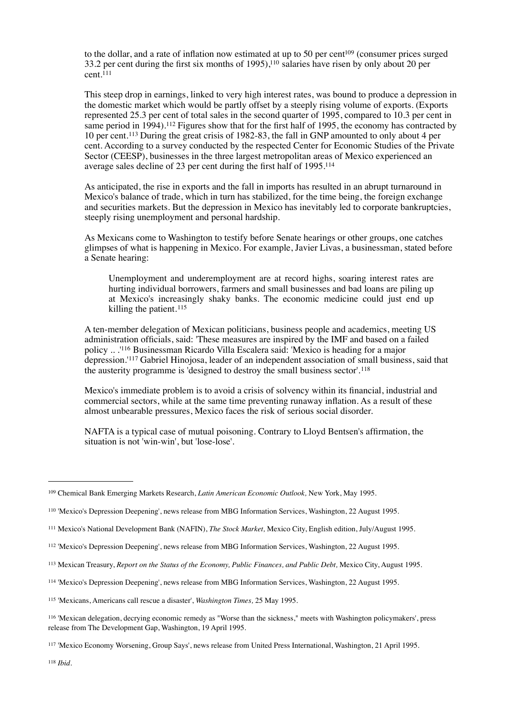to the dollar, and a rate of inflation now estimated at up to 50 per cent<sup>109</sup> (consumer prices surged 33.2 per cent during the first six months of 1995)[,110](#page-31-1) salaries have risen by only about 20 per  $cent<sup>111</sup>$ 

This steep drop in earnings, linked to very high interest rates, was bound to produce a depression in the domestic market which would be partly offset by a steeply rising volume of exports. (Exports represented 25.3 per cent of total sales in the second quarter of 1995, compared to 10.3 per cent in same period in 1994).<sup>112</sup> Figures show that for the first half of 1995, the economy has contracted by 10 per cent[.113](#page-31-4) During the great crisis of 1982-83, the fall in GNP amounted to only about 4 per cent. According to a survey conducted by the respected Center for Economic Studies of the Private Sector (CEESP), businesses in the three largest metropolitan areas of Mexico experienced an average sales decline of 23 per cent during the first half of 1995[.114](#page-31-5)

As anticipated, the rise in exports and the fall in imports has resulted in an abrupt turnaround in Mexico's balance of trade, which in turn has stabilized, for the time being, the foreign exchange and securities markets. But the depression in Mexico has inevitably led to corporate bankruptcies, steeply rising unemployment and personal hardship.

As Mexicans come to Washington to testify before Senate hearings or other groups, one catches glimpses of what is happening in Mexico. For example, Javier Livas, a businessman, stated before a Senate hearing:

Unemployment and underemployment are at record highs, soaring interest rates are hurting individual borrowers, farmers and small businesses and bad loans are piling up at Mexico's increasingly shaky banks. The economic medicine could just end up killing the patient.<sup>[115](#page-31-6)</sup>

A ten-member delegation of Mexican politicians, business people and academics, meeting US administration officials, said: 'These measures are inspired by the IMF and based on a failed policy .. .['116](#page-31-7) Businessman Ricardo Villa Escalera said: 'Mexico is heading for a major depression.'[117](#page-31-8) Gabriel Hinojosa, leader of an independent association of small business, said that the austerity programme is 'designed to destroy the small business sector'.[118](#page-31-9)

Mexico's immediate problem is to avoid a crisis of solvency within its financial, industrial and commercial sectors, while at the same time preventing runaway inflation. As a result of these almost unbearable pressures, Mexico faces the risk of serious social disorder.

NAFTA is a typical case of mutual poisoning. Contrary to Lloyd Bentsen's affirmation, the situation is not 'win-win', but 'lose-lose'.

- <span id="page-31-2"></span><sup>111</sup> Mexico's National Development Bank (NAFIN), *The Stock Market,* Mexico City, English edition, July/August 1995.
- <span id="page-31-3"></span><sup>112</sup> 'Mexico's Depression Deepening', news release from MBG Information Services, Washington, 22 August 1995.

<span id="page-31-0"></span><sup>109</sup> Chemical Bank Emerging Markets Research, *Latin American Economic Outlook,* New York, May 1995.

<span id="page-31-1"></span><sup>110</sup> 'Mexico's Depression Deepening', news release from MBG Information Services, Washington, 22 August 1995.

<span id="page-31-4"></span><sup>113</sup> Mexican Treasury, *Report on the Status of the Economy, Public Finances, and Public Debt,* Mexico City, August 1995.

<span id="page-31-5"></span><sup>114</sup> 'Mexico's Depression Deepening', news release from MBG Information Services, Washington, 22 August 1995.

<span id="page-31-6"></span><sup>115</sup> 'Mexicans, Americans call rescue a disaster', *Washington Times,* 25 May 1995.

<span id="page-31-7"></span><sup>116</sup> 'Mexican delegation, decrying economic remedy as "Worse than the sickness," meets with Washington policymakers', press release from The Development Gap, Washington, 19 April 1995.

<span id="page-31-8"></span><sup>117</sup> 'Mexico Economy Worsening, Group Says', news release from United Press International, Washington, 21 April 1995.

<span id="page-31-9"></span><sup>118</sup> *Ibid.*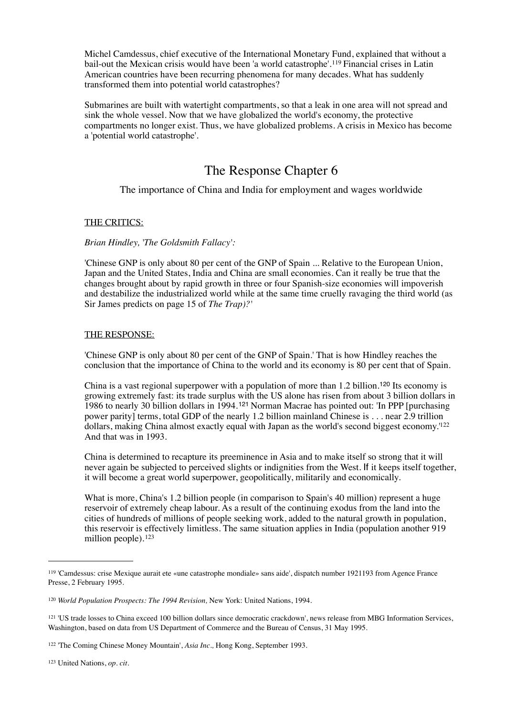Michel Camdessus, chief executive of the International Monetary Fund, explained that without a bail-out the Mexican crisis would have been 'a world catastrophe'.[119](#page-32-0) Financial crises in Latin American countries have been recurring phenomena for many decades. What has suddenly transformed them into potential world catastrophes?

Submarines are built with watertight compartments, so that a leak in one area will not spread and sink the whole vessel. Now that we have globalized the world's economy, the protective compartments no longer exist. Thus, we have globalized problems. A crisis in Mexico has become a 'potential world catastrophe'.

## The Response Chapter 6

The importance of China and India for employment and wages worldwide

### THE CRITICS:

### *Brian Hindley, 'The Goldsmith Fallacy':*

'Chinese GNP is only about 80 per cent of the GNP of Spain ... Relative to the European Union, Japan and the United States, India and China are small economies. Can it really be true that the changes brought about by rapid growth in three or four Spanish-size economies will impoverish and destabilize the industrialized world while at the same time cruelly ravaging the third world (as Sir James predicts on page 15 of *The Trap)?'* 

### THE RESPONSE:

'Chinese GNP is only about 80 per cent of the GNP of Spain.' That is how Hindley reaches the conclusion that the importance of China to the world and its economy is 80 per cent that of Spain.

China is a vast regional superpower with a population of more than 1.2 billion.[120](#page-32-1) Its economy is growing extremely fast: its trade surplus with the US alone has risen from about 3 billion dollars in 1986 to nearly 30 billion dollars in 1994.[121](#page-32-2) Norman Macrae has pointed out: 'In PPP [purchasing power parity] terms, total GDP of the nearly 1.2 billion mainland Chinese is . . . near 2.9 trillion dollars, making China almost exactly equal with Japan as the world's second biggest economy.['122](#page-32-3) And that was in 1993.

China is determined to recapture its preeminence in Asia and to make itself so strong that it will never again be subjected to perceived slights or indignities from the West. If it keeps itself together, it will become a great world superpower, geopolitically, militarily and economically.

What is more, China's 1.2 billion people (in comparison to Spain's 40 million) represent a huge reservoir of extremely cheap labour. As a result of the continuing exodus from the land into the cities of hundreds of millions of people seeking work, added to the natural growth in population, this reservoir is effectively limitless. The same situation applies in India (population another 919 million people).<sup>[123](#page-32-4)</sup>

<span id="page-32-0"></span><sup>119</sup> 'Camdessus: crise Mexique aurait ete «une catastrophe mondiale» sans aide', dispatch number 1921193 from Agence France Presse, 2 February 1995.

<span id="page-32-1"></span><sup>120</sup> *World Population Prospects: The 1994 Revision,* New York: United Nations, 1994.

<span id="page-32-2"></span><sup>121</sup> 'US trade losses to China exceed 100 billion dollars since democratic crackdown', news release from MBG Information Services, Washington, based on data from US Department of Commerce and the Bureau of Census, 31 May 1995.

<span id="page-32-3"></span><sup>122</sup> 'The Coming Chinese Money Mountain', *Asia Inc.,* Hong Kong, September 1993.

<span id="page-32-4"></span><sup>123</sup> United Nations, *op. cit.*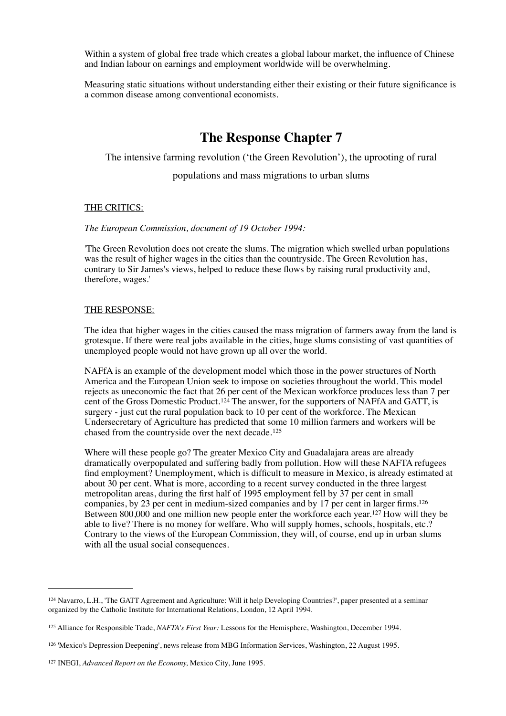Within a system of global free trade which creates a global labour market, the influence of Chinese and Indian labour on earnings and employment worldwide will be overwhelming.

Measuring static situations without understanding either their existing or their future significance is a common disease among conventional economists.

# **The Response Chapter 7**

The intensive farming revolution ('the Green Revolution'), the uprooting of rural

populations and mass migrations to urban slums

### THE CRITICS:

*The European Commission, document of 19 October 1994:* 

'The Green Revolution does not create the slums. The migration which swelled urban populations was the result of higher wages in the cities than the countryside. The Green Revolution has, contrary to Sir James's views, helped to reduce these flows by raising rural productivity and, therefore, wages.'

### THE RESPONSE:

The idea that higher wages in the cities caused the mass migration of farmers away from the land is grotesque. If there were real jobs available in the cities, huge slums consisting of vast quantities of unemployed people would not have grown up all over the world.

NAFfA is an example of the development model which those in the power structures of North America and the European Union seek to impose on societies throughout the world. This model rejects as uneconomic the fact that 26 per cent of the Mexican workforce produces less than 7 per cent of the Gross Domestic Product.<sup>124</sup> The answer, for the supporters of NAFfA and GATT, is surgery - just cut the rural population back to 10 per cent of the workforce. The Mexican Undersecretary of Agriculture has predicted that some 10 million farmers and workers will be chased from the countryside over the next decade.<sup>[125](#page-33-1)</sup>

Where will these people go? The greater Mexico City and Guadalajara areas are already dramatically overpopulated and suffering badly from pollution. How will these NAFTA refugees find employment? Unemployment, which is difficult to measure in Mexico, is already estimated at about 30 per cent. What is more, according to a recent survey conducted in the three largest metropolitan areas, during the first half of 1995 employment fell by 37 per cent in small companies, by 23 per cent in medium-sized companies and by 17 per cent in larger firms.<sup>126</sup> Between 800,000 and one million new people enter the workforce each year.<sup>127</sup> How will they be able to live? There is no money for welfare. Who will supply homes, schools, hospitals, etc.? Contrary to the views of the European Commission, they will, of course, end up in urban slums with all the usual social consequences.

<span id="page-33-0"></span><sup>124</sup> Navarro, L.H., 'The GATT Agreement and Agriculture: Will it help Developing Countries?', paper presented at a seminar organized by the Catholic Institute for International Relations, London, 12 April 1994.

<span id="page-33-1"></span><sup>125</sup> Alliance for Responsible Trade, *NAFTA's First Year:* Lessons for the Hemisphere, Washington, December 1994.

<span id="page-33-2"></span><sup>126</sup> 'Mexico's Depression Deepening', news release from MBG Information Services, Washington, 22 August 1995.

<span id="page-33-3"></span><sup>127</sup> INEGI, *Advanced Report on the Economy,* Mexico City, June 1995.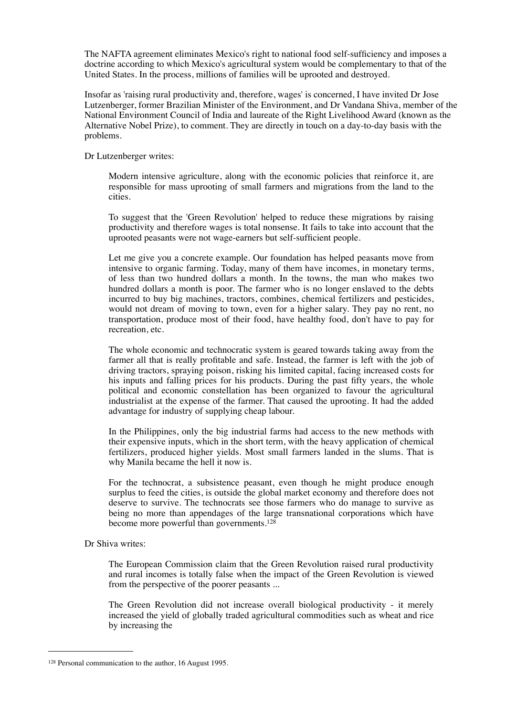The NAFTA agreement eliminates Mexico's right to national food self-sufficiency and imposes a doctrine according to which Mexico's agricultural system would be complementary to that of the United States. In the process, millions of families will be uprooted and destroyed.

Insofar as 'raising rural productivity and, therefore, wages' is concerned, I have invited Dr Jose Lutzenberger, former Brazilian Minister of the Environment, and Dr Vandana Shiva, member of the National Environment Council of India and laureate of the Right Livelihood Award (known as the Alternative Nobel Prize), to comment. They are directly in touch on a day-to-day basis with the problems.

Dr Lutzenberger writes:

Modern intensive agriculture, along with the economic policies that reinforce it, are responsible for mass uprooting of small farmers and migrations from the land to the cities.

To suggest that the 'Green Revolution' helped to reduce these migrations by raising productivity and therefore wages is total nonsense. It fails to take into account that the uprooted peasants were not wage-earners but self-sufficient people.

Let me give you a concrete example. Our foundation has helped peasants move from intensive to organic farming. Today, many of them have incomes, in monetary terms, of less than two hundred dollars a month. In the towns, the man who makes two hundred dollars a month is poor. The farmer who is no longer enslaved to the debts incurred to buy big machines, tractors, combines, chemical fertilizers and pesticides, would not dream of moving to town, even for a higher salary. They pay no rent, no transportation, produce most of their food, have healthy food, don't have to pay for recreation, etc.

The whole economic and technocratic system is geared towards taking away from the farmer all that is really profitable and safe. Instead, the farmer is left with the job of driving tractors, spraying poison, risking his limited capital, facing increased costs for his inputs and falling prices for his products. During the past fifty years, the whole political and economic constellation has been organized to favour the agricultural industrialist at the expense of the farmer. That caused the uprooting. It had the added advantage for industry of supplying cheap labour.

In the Philippines, only the big industrial farms had access to the new methods with their expensive inputs, which in the short term, with the heavy application of chemical fertilizers, produced higher yields. Most small farmers landed in the slums. That is why Manila became the hell it now is.

For the technocrat, a subsistence peasant, even though he might produce enough surplus to feed the cities, is outside the global market economy and therefore does not deserve to survive. The technocrats see those farmers who do manage to survive as being no more than appendages of the large transnational corporations which have become more powerful than governments.[128](#page-34-0)

Dr Shiva writes:

The European Commission claim that the Green Revolution raised rural productivity and rural incomes is totally false when the impact of the Green Revolution is viewed from the perspective of the poorer peasants ...

The Green Revolution did not increase overall biological productivity - it merely increased the yield of globally traded agricultural commodities such as wheat and rice by increasing the

<span id="page-34-0"></span><sup>128</sup> Personal communication to the author, 16 August 1995.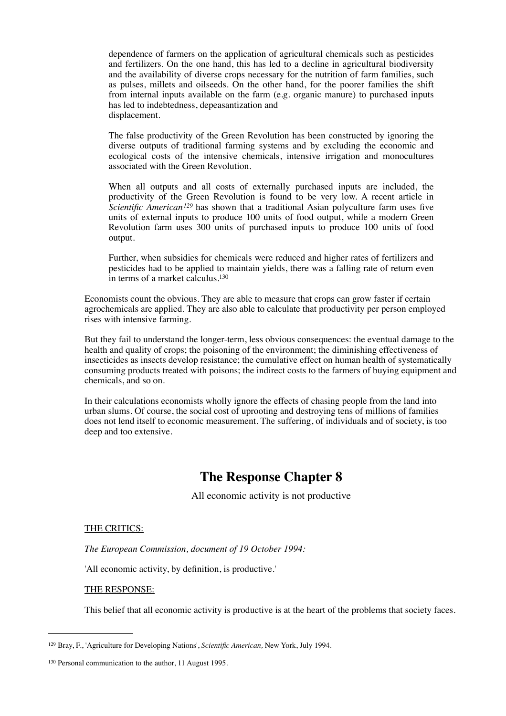dependence of farmers on the application of agricultural chemicals such as pesticides and fertilizers. On the one hand, this has led to a decline in agricultural biodiversity and the availability of diverse crops necessary for the nutrition of farm families, such as pulses, millets and oilseeds. On the other hand, for the poorer families the shift from internal inputs available on the farm (e.g. organic manure) to purchased inputs has led to indebtedness, depeasantization and displacement.

The false productivity of the Green Revolution has been constructed by ignoring the diverse outputs of traditional farming systems and by excluding the economic and ecological costs of the intensive chemicals, intensive irrigation and monocultures associated with the Green Revolution.

When all outputs and all costs of externally purchased inputs are included, the productivity of the Green Revolution is found to be very low. A recent article in *Scientific American<sup>[129](#page-35-0)</sup>* has shown that a traditional Asian polyculture farm uses five units of external inputs to produce 100 units of food output, while a modern Green Revolution farm uses 300 units of purchased inputs to produce 100 units of food output.

Further, when subsidies for chemicals were reduced and higher rates of fertilizers and pesticides had to be applied to maintain yields, there was a falling rate of return even in terms of a market calculus.[130](#page-35-1)

Economists count the obvious. They are able to measure that crops can grow faster if certain agrochemicals are applied. They are also able to calculate that productivity per person employed rises with intensive farming.

But they fail to understand the longer-term, less obvious consequences: the eventual damage to the health and quality of crops; the poisoning of the environment; the diminishing effectiveness of insecticides as insects develop resistance; the cumulative effect on human health of systematically consuming products treated with poisons; the indirect costs to the farmers of buying equipment and chemicals, and so on.

In their calculations economists wholly ignore the effects of chasing people from the land into urban slums. Of course, the social cost of uprooting and destroying tens of millions of families does not lend itself to economic measurement. The suffering, of individuals and of society, is too deep and too extensive.

# **The Response Chapter 8**

All economic activity is not productive

### THE CRITICS:

*The European Commission, document of 19 October 1994:* 

'All economic activity, by definition, is productive.'

### THE RESPONSE:

This belief that all economic activity is productive is at the heart of the problems that society faces.

<span id="page-35-0"></span><sup>129</sup> Bray, F., 'Agriculture for Developing Nations', *Scientific American,* New York, July 1994.

<span id="page-35-1"></span><sup>130</sup> Personal communication to the author, 11 August 1995.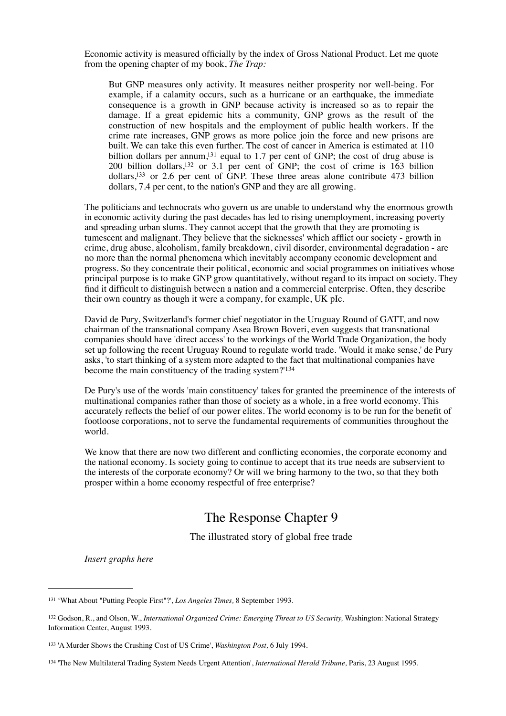Economic activity is measured officially by the index of Gross National Product. Let me quote from the opening chapter of my book, *The Trap:* 

But GNP measures only activity. It measures neither prosperity nor well-being. For example, if a calamity occurs, such as a hurricane or an earthquake, the immediate consequence is a growth in GNP because activity is increased so as to repair the damage. If a great epidemic hits a community, GNP grows as the result of the construction of new hospitals and the employment of public health workers. If the crime rate increases, GNP grows as more police join the force and new prisons are built. We can take this even further. The cost of cancer in America is estimated at 110 billion dollars per annum, $131$  equal to 1.7 per cent of GNP; the cost of drug abuse is 200 billion dollars,<sup>132</sup> or 3.1 per cent of GNP; the cost of crime is  $163$  billion dollars[,133](#page-36-2) or 2.6 per cent of GNP. These three areas alone contribute 473 billion dollars, 7.4 per cent, to the nation's GNP and they are all growing.

The politicians and technocrats who govern us are unable to understand why the enormous growth in economic activity during the past decades has led to rising unemployment, increasing poverty and spreading urban slums. They cannot accept that the growth that they are promoting is tumescent and malignant. They believe that the sicknesses' which afflict our society - growth in crime, drug abuse, alcoholism, family breakdown, civil disorder, environmental degradation - are no more than the normal phenomena which inevitably accompany economic development and progress. So they concentrate their political, economic and social programmes on initiatives whose principal purpose is to make GNP grow quantitatively, without regard to its impact on society. They find it difficult to distinguish between a nation and a commercial enterprise. Often, they describe their own country as though it were a company, for example, UK pIc.

David de Pury, Switzerland's former chief negotiator in the Uruguay Round of GATT, and now chairman of the transnational company Asea Brown Boveri, even suggests that transnational companies should have 'direct access' to the workings of the World Trade Organization, the body set up following the recent Uruguay Round to regulate world trade. 'Would it make sense,' de Pury asks, 'to start thinking of a system more adapted to the fact that multinational companies have become the main constituency of the trading system?'[134](#page-36-3)

De Pury's use of the words 'main constituency' takes for granted the preeminence of the interests of multinational companies rather than those of society as a whole, in a free world economy. This accurately reflects the belief of our power elites. The world economy is to be run for the benefit of footloose corporations, not to serve the fundamental requirements of communities throughout the world.

We know that there are now two different and conflicting economies, the corporate economy and the national economy. Is society going to continue to accept that its true needs are subservient to the interests of the corporate economy? Or will we bring harmony to the two, so that they both prosper within a home economy respectful of free enterprise?

The Response Chapter 9

The illustrated story of global free trade

*Insert graphs here*

<span id="page-36-0"></span><sup>131 &#</sup>x27;What About "Putting People First"?', *Los Angeles Times,* 8 September 1993.

<span id="page-36-1"></span><sup>132</sup> Godson, R., and Olson, W., *International Organized Crime: Emerging Threat to US Security,* Washington: National Strategy Information Center, August 1993.

<span id="page-36-2"></span><sup>133</sup> 'A Murder Shows the Crushing Cost of US Crime', *Washington Post,* 6 July 1994.

<span id="page-36-3"></span><sup>134</sup> 'The New Multilateral Trading System Needs Urgent Attention', *International Herald Tribune,* Paris, 23 August 1995.